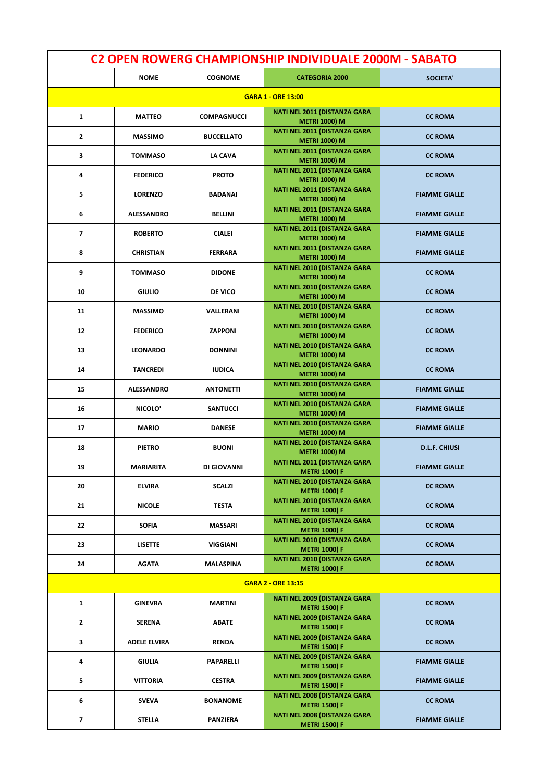| <b>C2 OPEN ROWERG CHAMPIONSHIP INDIVIDUALE 2000M - SABATO</b> |                     |                    |                                                             |                      |
|---------------------------------------------------------------|---------------------|--------------------|-------------------------------------------------------------|----------------------|
|                                                               | <b>NOME</b>         | <b>COGNOME</b>     | <b>CATEGORIA 2000</b>                                       | SOCIETA'             |
|                                                               |                     |                    | <b>GARA 1 - ORE 13:00</b>                                   |                      |
| 1                                                             | <b>MATTEO</b>       | <b>COMPAGNUCCI</b> | <b>NATI NEL 2011 (DISTANZA GARA</b><br><b>METRI 1000) M</b> | <b>CC ROMA</b>       |
| $\overline{2}$                                                | <b>MASSIMO</b>      | <b>BUCCELLATO</b>  | NATI NEL 2011 (DISTANZA GARA<br><b>METRI 1000) M</b>        | <b>CC ROMA</b>       |
| 3                                                             | <b>TOMMASO</b>      | LA CAVA            | <b>NATI NEL 2011 (DISTANZA GARA</b><br><b>METRI 1000) M</b> | <b>CC ROMA</b>       |
| 4                                                             | <b>FEDERICO</b>     | <b>PROTO</b>       | <b>NATI NEL 2011 (DISTANZA GARA</b><br><b>METRI 1000) M</b> | <b>CC ROMA</b>       |
| 5                                                             | <b>LORENZO</b>      | <b>BADANAI</b>     | <b>NATI NEL 2011 (DISTANZA GARA</b><br><b>METRI 1000) M</b> | <b>FIAMME GIALLE</b> |
| 6                                                             | <b>ALESSANDRO</b>   | <b>BELLINI</b>     | <b>NATI NEL 2011 (DISTANZA GARA</b><br><b>METRI 1000) M</b> | <b>FIAMME GIALLE</b> |
| 7                                                             | <b>ROBERTO</b>      | <b>CIALEI</b>      | <b>NATI NEL 2011 (DISTANZA GARA</b><br><b>METRI 1000) M</b> | <b>FIAMME GIALLE</b> |
| 8                                                             | <b>CHRISTIAN</b>    | <b>FERRARA</b>     | <b>NATI NEL 2011 (DISTANZA GARA</b><br><b>METRI 1000) M</b> | <b>FIAMME GIALLE</b> |
| 9                                                             | <b>TOMMASO</b>      | <b>DIDONE</b>      | <b>NATI NEL 2010 (DISTANZA GARA</b><br><b>METRI 1000) M</b> | <b>CC ROMA</b>       |
| 10                                                            | <b>GIULIO</b>       | <b>DE VICO</b>     | <b>NATI NEL 2010 (DISTANZA GARA</b><br><b>METRI 1000) M</b> | <b>CC ROMA</b>       |
| 11                                                            | <b>MASSIMO</b>      | VALLERANI          | <b>NATI NEL 2010 (DISTANZA GARA</b><br><b>METRI 1000) M</b> | <b>CC ROMA</b>       |
| 12                                                            | <b>FEDERICO</b>     | <b>ZAPPONI</b>     | <b>NATI NEL 2010 (DISTANZA GARA</b><br><b>METRI 1000) M</b> | <b>CC ROMA</b>       |
| 13                                                            | <b>LEONARDO</b>     | <b>DONNINI</b>     | <b>NATI NEL 2010 (DISTANZA GARA</b><br><b>METRI 1000) M</b> | <b>CC ROMA</b>       |
| 14                                                            | <b>TANCREDI</b>     | <b>IUDICA</b>      | <b>NATI NEL 2010 (DISTANZA GARA</b><br><b>METRI 1000) M</b> | <b>CC ROMA</b>       |
| 15                                                            | <b>ALESSANDRO</b>   | <b>ANTONETTI</b>   | <b>NATI NEL 2010 (DISTANZA GARA</b><br><b>METRI 1000) M</b> | <b>FIAMME GIALLE</b> |
| 16                                                            | NICOLO'             | <b>SANTUCCI</b>    | <b>NATI NEL 2010 (DISTANZA GARA</b><br><b>METRI 1000) M</b> | <b>FIAMME GIALLE</b> |
| 17                                                            | <b>MARIO</b>        | <b>DANESE</b>      | <b>NATI NEL 2010 (DISTANZA GARA</b><br><b>METRI 1000) M</b> | <b>FIAMME GIALLE</b> |
| 18                                                            | <b>PIETRO</b>       | <b>BUONI</b>       | <b>NATI NEL 2010 (DISTANZA GARA</b><br><b>METRI 1000) M</b> | <b>D.L.F. CHIUSI</b> |
| 19                                                            | <b>MARIARITA</b>    | DI GIOVANNI        | NATI NEL 2011 (DISTANZA GARA<br><b>METRI 1000) F</b>        | <b>FIAMME GIALLE</b> |
| 20                                                            | <b>ELVIRA</b>       | <b>SCALZI</b>      | <b>NATI NEL 2010 (DISTANZA GARA</b><br><b>METRI 1000) F</b> | <b>CC ROMA</b>       |
| 21                                                            | <b>NICOLE</b>       | <b>TESTA</b>       | NATI NEL 2010 (DISTANZA GARA<br><b>METRI 1000) F</b>        | <b>CC ROMA</b>       |
| 22                                                            | <b>SOFIA</b>        | <b>MASSARI</b>     | <b>NATI NEL 2010 (DISTANZA GARA</b><br><b>METRI 1000) F</b> | <b>CC ROMA</b>       |
| 23                                                            | <b>LISETTE</b>      | VIGGIANI           | NATI NEL 2010 (DISTANZA GARA<br><b>METRI 1000) F</b>        | <b>CC ROMA</b>       |
| 24                                                            | <b>AGATA</b>        | MALASPINA          | NATI NEL 2010 (DISTANZA GARA<br><b>METRI 1000) F</b>        | <b>CC ROMA</b>       |
|                                                               |                     |                    | <b>GARA 2 - ORE 13:15</b>                                   |                      |
| $\mathbf{1}$                                                  | <b>GINEVRA</b>      | <b>MARTINI</b>     | <b>NATI NEL 2009 (DISTANZA GARA</b><br><b>METRI 1500) F</b> | <b>CC ROMA</b>       |
| $\mathbf{2}$                                                  | SERENA              | ABATE              | <b>NATI NEL 2009 (DISTANZA GARA</b><br><b>METRI 1500) F</b> | <b>CC ROMA</b>       |
| 3                                                             | <b>ADELE ELVIRA</b> | RENDA              | <b>NATI NEL 2009 (DISTANZA GARA</b><br><b>METRI 1500) F</b> | <b>CC ROMA</b>       |
| 4                                                             | GIULIA              | PAPARELLI          | <b>NATI NEL 2009 (DISTANZA GARA</b><br><b>METRI 1500) F</b> | <b>FIAMME GIALLE</b> |
| 5                                                             | VITTORIA            | <b>CESTRA</b>      | <b>NATI NEL 2009 (DISTANZA GARA</b><br><b>METRI 1500) F</b> | <b>FIAMME GIALLE</b> |
| 6                                                             | SVEVA               | <b>BONANOME</b>    | <b>NATI NEL 2008 (DISTANZA GARA</b><br><b>METRI 1500) F</b> | <b>CC ROMA</b>       |
| 7                                                             | STELLA              | PANZIERA           | <b>NATI NEL 2008 (DISTANZA GARA</b><br><b>METRI 1500) F</b> | <b>FIAMME GIALLE</b> |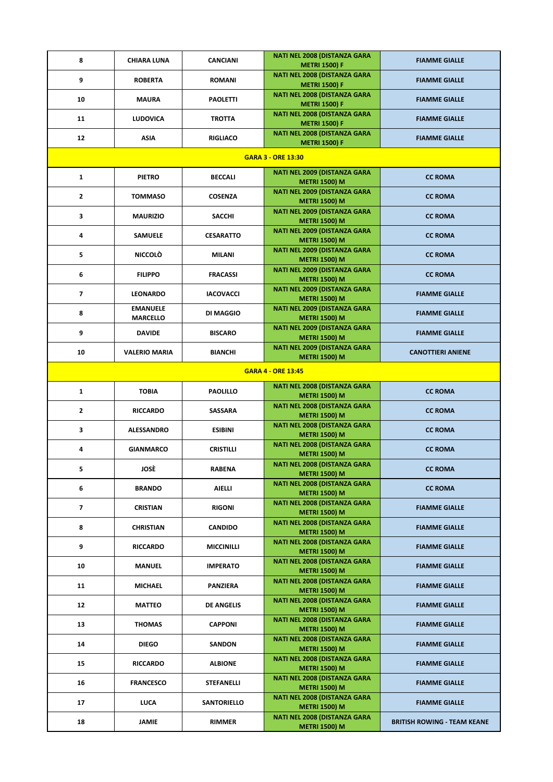| 8                         | <b>CHIARA LUNA</b>                 | <b>CANCIANI</b>    | <b>NATI NEL 2008 (DISTANZA GARA</b><br><b>METRI 1500) F</b> | <b>FIAMME GIALLE</b>               |  |
|---------------------------|------------------------------------|--------------------|-------------------------------------------------------------|------------------------------------|--|
| 9                         | <b>ROBERTA</b>                     | <b>ROMANI</b>      | <b>NATI NEL 2008 (DISTANZA GARA</b><br><b>METRI 1500) F</b> | <b>FIAMME GIALLE</b>               |  |
| 10                        | MAURA                              | <b>PAOLETTI</b>    | NATI NEL 2008 (DISTANZA GARA<br><b>METRI 1500) F</b>        | <b>FIAMME GIALLE</b>               |  |
| 11                        | <b>LUDOVICA</b>                    | <b>TROTTA</b>      | <b>NATI NEL 2008 (DISTANZA GARA</b><br><b>METRI 1500) F</b> | <b>FIAMME GIALLE</b>               |  |
| 12                        | <b>ASIA</b>                        | <b>RIGLIACO</b>    | NATI NEL 2008 (DISTANZA GARA<br><b>METRI 1500) F</b>        | <b>FIAMME GIALLE</b>               |  |
|                           |                                    |                    | <b>GARA 3 - ORE 13:30</b>                                   |                                    |  |
| 1                         | <b>PIETRO</b>                      | <b>BECCALI</b>     | <b>NATI NEL 2009 (DISTANZA GARA</b><br><b>METRI 1500) M</b> | <b>CC ROMA</b>                     |  |
| $\mathbf{z}$              | <b>TOMMASO</b>                     | <b>COSENZA</b>     | <b>NATI NEL 2009 (DISTANZA GARA</b><br><b>METRI 1500) M</b> | <b>CC ROMA</b>                     |  |
| 3                         | <b>MAURIZIO</b>                    | <b>SACCHI</b>      | <b>NATI NEL 2009 (DISTANZA GARA</b><br><b>METRI 1500) M</b> | <b>CC ROMA</b>                     |  |
| 4                         | <b>SAMUELE</b>                     | <b>CESARATTO</b>   | <b>NATI NEL 2009 (DISTANZA GARA</b><br><b>METRI 1500) M</b> | <b>CC ROMA</b>                     |  |
| 5                         | <b>NICCOLÒ</b>                     | MILANI             | <b>NATI NEL 2009 (DISTANZA GARA</b><br><b>METRI 1500) M</b> | <b>CC ROMA</b>                     |  |
| 6                         | <b>FILIPPO</b>                     | <b>FRACASSI</b>    | <b>NATI NEL 2009 (DISTANZA GARA</b><br><b>METRI 1500) M</b> | <b>CC ROMA</b>                     |  |
| $\overline{\phantom{a}}$  | <b>LEONARDO</b>                    | <b>IACOVACCI</b>   | <b>NATI NEL 2009 (DISTANZA GARA</b><br><b>METRI 1500) M</b> | <b>FIAMME GIALLE</b>               |  |
| 8                         | <b>EMANUELE</b><br><b>MARCELLO</b> | DI MAGGIO          | <b>NATI NEL 2009 (DISTANZA GARA</b><br><b>METRI 1500) M</b> | <b>FIAMME GIALLE</b>               |  |
| 9                         | <b>DAVIDE</b>                      | <b>BISCARO</b>     | <b>NATI NEL 2009 (DISTANZA GARA</b><br><b>METRI 1500) M</b> | <b>FIAMME GIALLE</b>               |  |
| 10                        | <b>VALERIO MARIA</b>               | <b>BIANCHI</b>     | <b>NATI NEL 2009 (DISTANZA GARA</b><br><b>METRI 1500) M</b> | <b>CANOTTIERI ANIENE</b>           |  |
| <b>GARA 4 - ORE 13:45</b> |                                    |                    |                                                             |                                    |  |
| $\mathbf{1}$              | <b>TOBIA</b>                       | <b>PAOLILLO</b>    | <b>NATI NEL 2008 (DISTANZA GARA</b><br><b>METRI 1500) M</b> | <b>CC ROMA</b>                     |  |
| $\mathbf{z}$              | <b>RICCARDO</b>                    | <b>SASSARA</b>     | <b>NATI NEL 2008 (DISTANZA GARA</b><br><b>METRI 1500) M</b> | <b>CC ROMA</b>                     |  |
| 3                         | <b>ALESSANDRO</b>                  | <b>ESIBINI</b>     | <b>NATI NEL 2008 (DISTANZA GARA</b><br><b>METRI 1500) M</b> | <b>CC ROMA</b>                     |  |
| 4                         | <b>GIANMARCO</b>                   | <b>CRISTILLI</b>   | NATI NEL 2008 (DISTANZA GARA<br><b>METRI 1500) M</b>        | <b>CC ROMA</b>                     |  |
| 5.                        | JOSÈ                               | RABENA             | <b>NATI NEL 2008 (DISTANZA GARA</b><br><b>METRI 1500) M</b> | <b>CC ROMA</b>                     |  |
| 6                         | <b>BRANDO</b>                      | <b>AIELLI</b>      | <b>NATI NEL 2008 (DISTANZA GARA</b><br><b>METRI 1500) M</b> | <b>CC ROMA</b>                     |  |
| 7                         | <b>CRISTIAN</b>                    | <b>RIGONI</b>      | <b>NATI NEL 2008 (DISTANZA GARA</b><br><b>METRI 1500) M</b> | <b>FIAMME GIALLE</b>               |  |
| 8                         | <b>CHRISTIAN</b>                   | <b>CANDIDO</b>     | <b>NATI NEL 2008 (DISTANZA GARA</b><br><b>METRI 1500) M</b> | <b>FIAMME GIALLE</b>               |  |
| 9                         | <b>RICCARDO</b>                    | <b>MICCINILLI</b>  | <b>NATI NEL 2008 (DISTANZA GARA</b><br><b>METRI 1500) M</b> | <b>FIAMME GIALLE</b>               |  |
| 10                        | <b>MANUEL</b>                      | <b>IMPERATO</b>    | <b>NATI NEL 2008 (DISTANZA GARA</b><br><b>METRI 1500) M</b> | <b>FIAMME GIALLE</b>               |  |
| 11                        | <b>MICHAEL</b>                     | PANZIERA           | <b>NATI NEL 2008 (DISTANZA GARA</b><br><b>METRI 1500) M</b> | <b>FIAMME GIALLE</b>               |  |
| 12                        | <b>MATTEO</b>                      | <b>DE ANGELIS</b>  | <b>NATI NEL 2008 (DISTANZA GARA</b><br><b>METRI 1500) M</b> | <b>FIAMME GIALLE</b>               |  |
| 13                        | <b>THOMAS</b>                      | <b>CAPPONI</b>     | NATI NEL 2008 (DISTANZA GARA<br><b>METRI 1500) M</b>        | <b>FIAMME GIALLE</b>               |  |
| 14                        | <b>DIEGO</b>                       | <b>SANDON</b>      | <b>NATI NEL 2008 (DISTANZA GARA</b><br><b>METRI 1500) M</b> | <b>FIAMME GIALLE</b>               |  |
| 15                        | <b>RICCARDO</b>                    | <b>ALBIONE</b>     | <b>NATI NEL 2008 (DISTANZA GARA</b><br><b>METRI 1500) M</b> | <b>FIAMME GIALLE</b>               |  |
| 16                        | <b>FRANCESCO</b>                   | STEFANELLI         | <b>NATI NEL 2008 (DISTANZA GARA</b><br><b>METRI 1500) M</b> | <b>FIAMME GIALLE</b>               |  |
| 17                        | <b>LUCA</b>                        | <b>SANTORIELLO</b> | NATI NEL 2008 (DISTANZA GARA<br><b>METRI 1500) M</b>        | <b>FIAMME GIALLE</b>               |  |
| 18                        | JAMIE                              | <b>RIMMER</b>      | <b>NATI NEL 2008 (DISTANZA GARA</b><br><b>METRI 1500) M</b> | <b>BRITISH ROWING - TEAM KEANE</b> |  |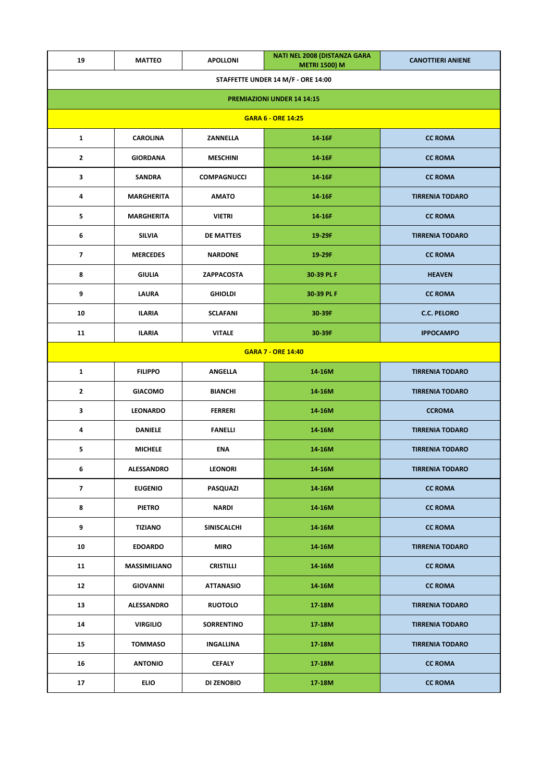| 19                                | <b>MATTEO</b>                            | <b>APOLLONI</b>    | NATI NEL 2008 (DISTANZA GARA<br><b>METRI 1500) M</b> | <b>CANOTTIERI ANIENE</b> |  |
|-----------------------------------|------------------------------------------|--------------------|------------------------------------------------------|--------------------------|--|
|                                   |                                          |                    | STAFFETTE UNDER 14 M/F - ORE 14:00                   |                          |  |
| <b>PREMIAZIONI UNDER 14 14:15</b> |                                          |                    |                                                      |                          |  |
| <b>GARA 6 - ORE 14:25</b>         |                                          |                    |                                                      |                          |  |
| $\mathbf{1}$                      | <b>CAROLINA</b>                          | <b>CC ROMA</b>     |                                                      |                          |  |
| $\mathbf{2}$                      | <b>GIORDANA</b>                          | <b>MESCHINI</b>    | 14-16F                                               | <b>CC ROMA</b>           |  |
| 3                                 | <b>SANDRA</b>                            | <b>COMPAGNUCCI</b> | 14-16F                                               | <b>CC ROMA</b>           |  |
| 4                                 | <b>MARGHERITA</b>                        | <b>AMATO</b>       | 14-16F                                               | <b>TIRRENIA TODARO</b>   |  |
| 5                                 | <b>MARGHERITA</b>                        | <b>VIETRI</b>      | 14-16F                                               | <b>CC ROMA</b>           |  |
| 6                                 | <b>SILVIA</b>                            | DE MATTEIS         | 19-29F                                               | <b>TIRRENIA TODARO</b>   |  |
| $\overline{\phantom{a}}$          | <b>MERCEDES</b>                          | <b>NARDONE</b>     | 19-29F                                               | <b>CC ROMA</b>           |  |
| 8                                 | <b>GIULIA</b>                            | ZAPPACOSTA         | 30-39 PL F                                           | <b>HEAVEN</b>            |  |
| 9                                 | LAURA                                    | <b>GHIOLDI</b>     | 30-39 PL F                                           | <b>CC ROMA</b>           |  |
| 10                                | <b>ILARIA</b>                            | <b>SCLAFANI</b>    | 30-39F                                               | <b>C.C. PELORO</b>       |  |
| 11                                | <b>ILARIA</b><br><b>VITALE</b><br>30-39F |                    | <b>IPPOCAMPO</b>                                     |                          |  |
|                                   |                                          |                    | <b>GARA 7 - ORE 14:40</b>                            |                          |  |
| $\mathbf{1}$                      | <b>FILIPPO</b>                           | <b>ANGELLA</b>     | 14-16M                                               | <b>TIRRENIA TODARO</b>   |  |
| $\mathbf{2}$                      | <b>GIACOMO</b>                           | <b>BIANCHI</b>     | 14-16M                                               | <b>TIRRENIA TODARO</b>   |  |
| 3                                 | <b>LEONARDO</b>                          | <b>FERRERI</b>     | 14-16M                                               | <b>CCROMA</b>            |  |
| 4                                 | <b>DANIELE</b>                           | <b>FANELLI</b>     | 14-16M                                               | <b>TIRRENIA TODARO</b>   |  |
| 5                                 | <b>MICHELE</b>                           | ENA                | 14-16M                                               | <b>TIRRENIA TODARO</b>   |  |
| 6                                 | ALESSANDRO                               | <b>LEONORI</b>     | 14-16M                                               | TIRRENIA TODARO          |  |
| 7                                 | <b>EUGENIO</b>                           | PASQUAZI           | 14-16M                                               | <b>CC ROMA</b>           |  |
| 8                                 | <b>PIETRO</b>                            | <b>NARDI</b>       | 14-16M                                               | <b>CC ROMA</b>           |  |
| 9                                 | <b>TIZIANO</b>                           | SINISCALCHI        | 14-16M                                               | <b>CC ROMA</b>           |  |
| 10                                | <b>EDOARDO</b>                           | <b>MIRO</b>        | 14-16M                                               | <b>TIRRENIA TODARO</b>   |  |
| 11                                | <b>MASSIMILIANO</b>                      | <b>CRISTILLI</b>   | 14-16M                                               | <b>CC ROMA</b>           |  |
| 12                                | <b>GIOVANNI</b>                          | <b>ATTANASIO</b>   | 14-16M                                               | <b>CC ROMA</b>           |  |
| 13                                | <b>ALESSANDRO</b>                        | <b>RUOTOLO</b>     | 17-18M                                               | <b>TIRRENIA TODARO</b>   |  |
| 14                                | <b>VIRGILIO</b>                          | <b>SORRENTINO</b>  | 17-18M                                               | <b>TIRRENIA TODARO</b>   |  |
| 15                                | <b>TOMMASO</b>                           | <b>INGALLINA</b>   | 17-18M                                               | <b>TIRRENIA TODARO</b>   |  |
| 16                                | <b>ANTONIO</b>                           | <b>CEFALY</b>      | 17-18M                                               | <b>CC ROMA</b>           |  |
| 17                                | <b>ELIO</b>                              | DI ZENOBIO         | 17-18M                                               | <b>CC ROMA</b>           |  |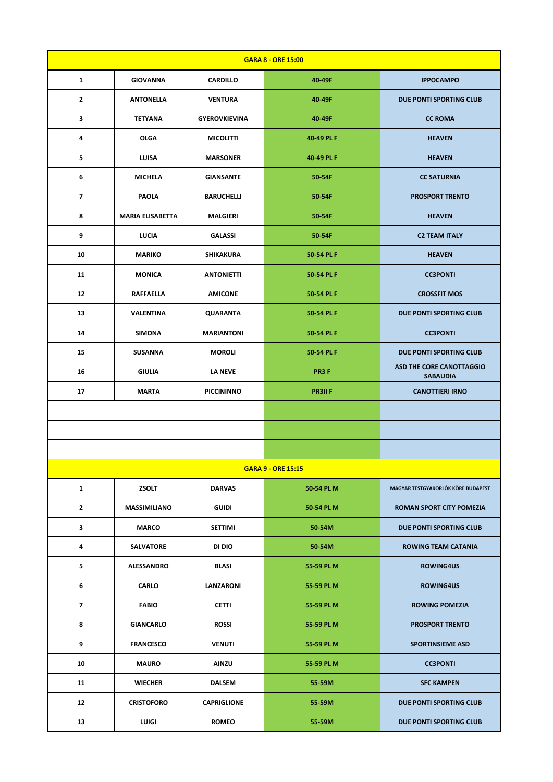| <b>GARA 8 - ORE 15:00</b> |                         |                      |                           |                                                    |
|---------------------------|-------------------------|----------------------|---------------------------|----------------------------------------------------|
| $\mathbf{1}$              | <b>GIOVANNA</b>         | <b>CARDILLO</b>      | 40-49F                    | <b>IPPOCAMPO</b>                                   |
| $\mathbf{2}$              | <b>ANTONELLA</b>        | <b>VENTURA</b>       | 40-49F                    | DUE PONTI SPORTING CLUB                            |
| 3                         | <b>TETYANA</b>          | <b>GYEROVKIEVINA</b> | 40-49F                    | <b>CC ROMA</b>                                     |
| 4                         | <b>OLGA</b>             | <b>MICOLITTI</b>     | 40-49 PL F                | <b>HEAVEN</b>                                      |
| 5                         | <b>LUISA</b>            | <b>MARSONER</b>      | 40-49 PL F                | <b>HEAVEN</b>                                      |
| 6                         | <b>MICHELA</b>          | <b>GIANSANTE</b>     | 50-54F                    | <b>CC SATURNIA</b>                                 |
| $\overline{\phantom{a}}$  | <b>PAOLA</b>            | <b>BARUCHELLI</b>    | 50-54F                    | <b>PROSPORT TRENTO</b>                             |
| 8                         | <b>MARIA ELISABETTA</b> | <b>MALGIERI</b>      | 50-54F                    | <b>HEAVEN</b>                                      |
| 9                         | <b>LUCIA</b>            | <b>GALASSI</b>       | 50-54F                    | <b>C2 TEAM ITALY</b>                               |
| 10                        | <b>MARIKO</b>           | SHIKAKURA            | 50-54 PL F                | <b>HEAVEN</b>                                      |
| 11                        | <b>MONICA</b>           | <b>ANTONIETTI</b>    | 50-54 PL F                | <b>CC3PONTI</b>                                    |
| 12                        | <b>RAFFAELLA</b>        | <b>AMICONE</b>       | 50-54 PL F                | <b>CROSSFIT MOS</b>                                |
| 13                        | <b>VALENTINA</b>        | <b>QUARANTA</b>      | 50-54 PL F                | DUE PONTI SPORTING CLUB                            |
| 14                        | <b>SIMONA</b>           | <b>MARIANTONI</b>    | 50-54 PL F                | <b>CC3PONTI</b>                                    |
| 15                        | <b>SUSANNA</b>          | <b>MOROLI</b>        | 50-54 PL F                | DUE PONTI SPORTING CLUB                            |
| 16                        | <b>GIULIA</b>           | <b>LA NEVE</b>       | PR3F                      | <b>ASD THE CORE CANOTTAGGIO</b><br><b>SABAUDIA</b> |
| 17                        | <b>MARTA</b>            | <b>PICCININNO</b>    | <b>PR3IIF</b>             | <b>CANOTTIERI IRNO</b>                             |
|                           |                         |                      |                           |                                                    |
|                           |                         |                      |                           |                                                    |
|                           |                         |                      |                           |                                                    |
|                           |                         |                      | <b>GARA 9 - ORE 15:15</b> |                                                    |
| $\mathbf{1}$              | <b>ZSOLT</b>            | <b>DARVAS</b>        | 50-54 PL M                | MAGYAR TESTGYAKORLÓK KÖRE BUDAPEST                 |
| $\mathbf{2}$              | <b>MASSIMILIANO</b>     | <b>GUIDI</b>         | 50-54 PL M                | <b>ROMAN SPORT CITY POMEZIA</b>                    |
| 3                         | <b>MARCO</b>            | SETTIMI              | 50-54M                    | DUE PONTI SPORTING CLUB                            |
| 4                         | <b>SALVATORE</b>        | DI DIO               | 50-54M                    | <b>ROWING TEAM CATANIA</b>                         |
| 5                         | <b>ALESSANDRO</b>       | <b>BLASI</b>         | 55-59 PL M                | <b>ROWING4US</b>                                   |
| 6                         | <b>CARLO</b>            | LANZARONI            | 55-59 PL M                | <b>ROWING4US</b>                                   |
| $\overline{\phantom{a}}$  | <b>FABIO</b>            | <b>CETTI</b>         | 55-59 PL M                | <b>ROWING POMEZIA</b>                              |
| 8                         | <b>GIANCARLO</b>        | <b>ROSSI</b>         | 55-59 PL M                | <b>PROSPORT TRENTO</b>                             |
| 9                         | <b>FRANCESCO</b>        | <b>VENUTI</b>        | 55-59 PL M                | <b>SPORTINSIEME ASD</b>                            |
| 10                        | <b>MAURO</b>            | <b>AINZU</b>         | 55-59 PL M                | <b>CC3PONTI</b>                                    |
| 11                        | <b>WIECHER</b>          | <b>DALSEM</b>        | 55-59M                    | <b>SFC KAMPEN</b>                                  |
| 12                        | <b>CRISTOFORO</b>       | <b>CAPRIGLIONE</b>   | 55-59M                    | DUE PONTI SPORTING CLUB                            |
| 13                        | LUIGI                   | <b>ROMEO</b>         | 55-59M                    | DUE PONTI SPORTING CLUB                            |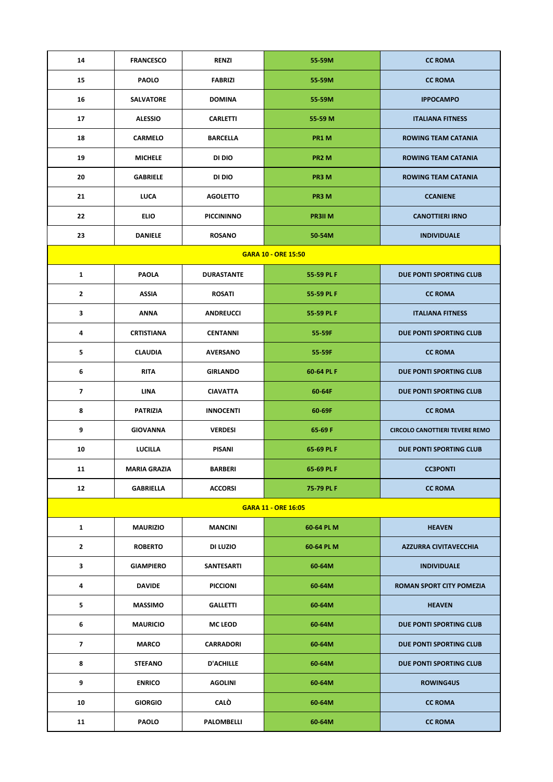| 14                       | <b>FRANCESCO</b>    | <b>RENZI</b>      | 55-59M                     | <b>CC ROMA</b>                        |
|--------------------------|---------------------|-------------------|----------------------------|---------------------------------------|
| 15                       | <b>PAOLO</b>        | <b>FABRIZI</b>    | 55-59M                     | <b>CC ROMA</b>                        |
| 16                       | <b>SALVATORE</b>    | <b>DOMINA</b>     | 55-59M                     | <b>IPPOCAMPO</b>                      |
| 17                       | <b>ALESSIO</b>      | <b>CARLETTI</b>   | 55-59 M                    | <b>ITALIANA FITNESS</b>               |
| 18                       | <b>CARMELO</b>      | <b>BARCELLA</b>   | PR1 M                      | <b>ROWING TEAM CATANIA</b>            |
| 19                       | <b>MICHELE</b>      | DI DIO            | PR <sub>2</sub> M          | <b>ROWING TEAM CATANIA</b>            |
| 20                       | <b>GABRIELE</b>     | DI DIO            | PR3 M                      | <b>ROWING TEAM CATANIA</b>            |
| 21                       | LUCA                | <b>AGOLETTO</b>   | PR3 M                      | <b>CCANIENE</b>                       |
| 22                       | <b>ELIO</b>         | <b>PICCININNO</b> | <b>PR3II M</b>             | <b>CANOTTIERI IRNO</b>                |
| 23                       | <b>DANIELE</b>      | <b>ROSANO</b>     | 50-54M                     | <b>INDIVIDUALE</b>                    |
|                          |                     |                   | <b>GARA 10 - ORE 15:50</b> |                                       |
| $\mathbf{1}$             | <b>PAOLA</b>        | <b>DURASTANTE</b> | 55-59 PL F                 | DUE PONTI SPORTING CLUB               |
| $\overline{2}$           | <b>ASSIA</b>        | <b>ROSATI</b>     | 55-59 PL F                 | <b>CC ROMA</b>                        |
| 3                        | <b>ANNA</b>         | <b>ANDREUCCI</b>  | 55-59 PL F                 | <b>ITALIANA FITNESS</b>               |
| 4                        | <b>CRTISTIANA</b>   | <b>CENTANNI</b>   | 55-59F                     | DUE PONTI SPORTING CLUB               |
| 5                        | <b>CLAUDIA</b>      | <b>AVERSANO</b>   | 55-59F                     | <b>CC ROMA</b>                        |
| 6                        | <b>RITA</b>         | <b>GIRLANDO</b>   | 60-64 PL F                 | DUE PONTI SPORTING CLUB               |
| $\overline{\phantom{a}}$ | <b>LINA</b>         | <b>CIAVATTA</b>   | 60-64F                     | DUE PONTI SPORTING CLUB               |
| 8                        | <b>PATRIZIA</b>     | <b>INNOCENTI</b>  | 60-69F                     | <b>CC ROMA</b>                        |
| 9                        | <b>GIOVANNA</b>     | <b>VERDESI</b>    | 65-69 F                    | <b>CIRCOLO CANOTTIERI TEVERE REMO</b> |
| 10                       | <b>LUCILLA</b>      | PISANI            | 65-69 PL F                 | DUE PONTI SPORTING CLUB               |
| 11                       | <b>MARIA GRAZIA</b> | <b>BARBERI</b>    | 65-69 PL F                 | <b>CC3PONTI</b>                       |
| 12                       | <b>GABRIELLA</b>    | <b>ACCORSI</b>    | 75-79 PL F                 | <b>CC ROMA</b>                        |
|                          |                     |                   | <b>GARA 11 - ORE 16:05</b> |                                       |
| 1                        | <b>MAURIZIO</b>     | <b>MANCINI</b>    | 60-64 PL M                 | <b>HEAVEN</b>                         |
| $\mathbf{2}$             | <b>ROBERTO</b>      | DI LUZIO          | 60-64 PL M                 | <b>AZZURRA CIVITAVECCHIA</b>          |
| 3                        | <b>GIAMPIERO</b>    | SANTESARTI        | 60-64M                     | <b>INDIVIDUALE</b>                    |
| 4                        | <b>DAVIDE</b>       | <b>PICCIONI</b>   | 60-64M                     | ROMAN SPORT CITY POMEZIA              |
| 5                        | <b>MASSIMO</b>      | <b>GALLETTI</b>   | 60-64M                     | <b>HEAVEN</b>                         |
| 6                        | <b>MAURICIO</b>     | <b>MC LEOD</b>    | 60-64M                     | DUE PONTI SPORTING CLUB               |
| 7                        | <b>MARCO</b>        | <b>CARRADORI</b>  | 60-64M                     | DUE PONTI SPORTING CLUB               |
| 8                        | <b>STEFANO</b>      | <b>D'ACHILLE</b>  | 60-64M                     | DUE PONTI SPORTING CLUB               |
| 9                        | <b>ENRICO</b>       | <b>AGOLINI</b>    | 60-64M                     | <b>ROWING4US</b>                      |
| 10                       | <b>GIORGIO</b>      | <b>CALO</b>       | 60-64M                     | <b>CC ROMA</b>                        |
| 11                       | <b>PAOLO</b>        | PALOMBELLI        | 60-64M                     | <b>CC ROMA</b>                        |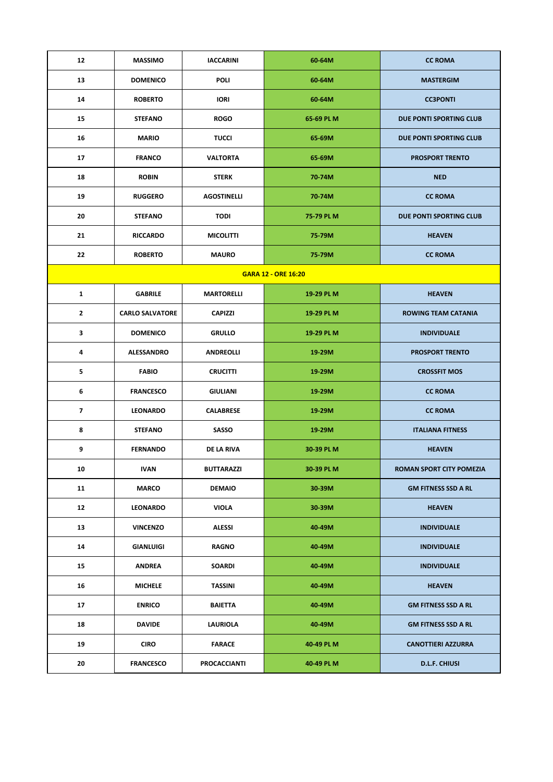| 12                       | <b>MASSIMO</b>         | <b>IACCARINI</b>    | 60-64M                     | <b>CC ROMA</b>             |
|--------------------------|------------------------|---------------------|----------------------------|----------------------------|
| 13                       | <b>DOMENICO</b>        | POLI                | 60-64M                     | <b>MASTERGIM</b>           |
| 14                       | <b>ROBERTO</b>         | <b>IORI</b>         | 60-64M                     | <b>CC3PONTI</b>            |
| 15                       | <b>STEFANO</b>         | <b>ROGO</b>         | 65-69 PL M                 | DUE PONTI SPORTING CLUB    |
| 16                       | <b>MARIO</b>           | <b>TUCCI</b>        | 65-69M                     | DUE PONTI SPORTING CLUB    |
| 17                       | <b>FRANCO</b>          | <b>VALTORTA</b>     | 65-69M                     | <b>PROSPORT TRENTO</b>     |
| 18                       | <b>ROBIN</b>           | <b>STERK</b>        | 70-74M                     | <b>NED</b>                 |
| 19                       | <b>RUGGERO</b>         | <b>AGOSTINELLI</b>  | 70-74M                     | <b>CC ROMA</b>             |
| 20                       | <b>STEFANO</b>         | <b>TODI</b>         | 75-79 PL M                 | DUE PONTI SPORTING CLUB    |
| 21                       | <b>RICCARDO</b>        | <b>MICOLITTI</b>    | 75-79M                     | <b>HEAVEN</b>              |
| 22                       | <b>ROBERTO</b>         | <b>MAURO</b>        | 75-79M                     | <b>CC ROMA</b>             |
|                          |                        |                     | <b>GARA 12 - ORE 16:20</b> |                            |
| $\mathbf{1}$             | <b>GABRILE</b>         | <b>MARTORELLI</b>   | 19-29 PL M                 | <b>HEAVEN</b>              |
| $\mathbf{2}$             | <b>CARLO SALVATORE</b> | <b>CAPIZZI</b>      | 19-29 PL M                 | <b>ROWING TEAM CATANIA</b> |
| $\mathbf{3}$             | <b>DOMENICO</b>        | <b>GRULLO</b>       | 19-29 PL M                 | <b>INDIVIDUALE</b>         |
| 4                        | <b>ALESSANDRO</b>      | <b>ANDREOLLI</b>    | 19-29M                     | <b>PROSPORT TRENTO</b>     |
| 5                        | <b>FABIO</b>           | <b>CRUCITTI</b>     | 19-29M                     | <b>CROSSFIT MOS</b>        |
| 6                        | <b>FRANCESCO</b>       | <b>GIULIANI</b>     | 19-29M                     | <b>CC ROMA</b>             |
| $\overline{\phantom{a}}$ | <b>LEONARDO</b>        | <b>CALABRESE</b>    | 19-29M                     | <b>CC ROMA</b>             |
| 8                        | <b>STEFANO</b>         | SASSO               | 19-29M                     | <b>ITALIANA FITNESS</b>    |
| 9                        | <b>FERNANDO</b>        | DE LA RIVA          | 30-39 PL M                 | <b>HEAVEN</b>              |
| 10                       | <b>IVAN</b>            | BUTTARAZZI          | 30-39 PL M                 | ROMAN SPORT CITY POMEZIA   |
| 11                       | <b>MARCO</b>           | <b>DEMAIO</b>       | 30-39M                     | <b>GM FITNESS SSD A RL</b> |
| 12                       | <b>LEONARDO</b>        | <b>VIOLA</b>        | 30-39M                     | <b>HEAVEN</b>              |
| 13                       | <b>VINCENZO</b>        | <b>ALESSI</b>       | 40-49M                     | <b>INDIVIDUALE</b>         |
| 14                       | <b>GIANLUIGI</b>       | <b>RAGNO</b>        | 40-49M                     | <b>INDIVIDUALE</b>         |
| 15                       | <b>ANDREA</b>          | <b>SOARDI</b>       | 40-49M                     | <b>INDIVIDUALE</b>         |
| 16                       | <b>MICHELE</b>         | <b>TASSINI</b>      | 40-49M                     | <b>HEAVEN</b>              |
| 17                       | <b>ENRICO</b>          | <b>BAIETTA</b>      | 40-49M                     | <b>GM FITNESS SSD A RL</b> |
| 18                       | <b>DAVIDE</b>          | LAURIOLA            | 40-49M                     | <b>GM FITNESS SSD A RL</b> |
| 19                       | <b>CIRO</b>            | <b>FARACE</b>       | 40-49 PL M                 | <b>CANOTTIERI AZZURRA</b>  |
| 20                       | <b>FRANCESCO</b>       | <b>PROCACCIANTI</b> | 40-49 PL M                 | <b>D.L.F. CHIUSI</b>       |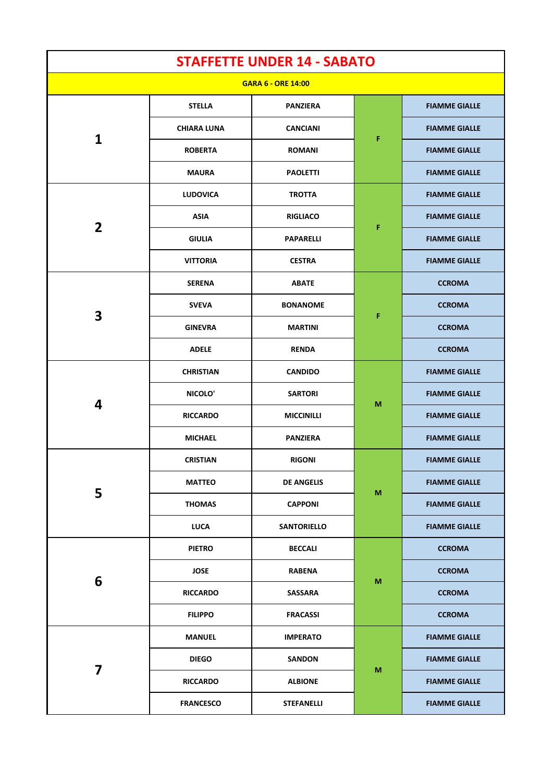|                         |                    | <b>STAFFETTE UNDER 14 - SABATO</b> |   |                      |
|-------------------------|--------------------|------------------------------------|---|----------------------|
|                         |                    | <b>GARA 6 - ORE 14:00</b>          |   |                      |
|                         | <b>STELLA</b>      | <b>PANZIERA</b>                    |   | <b>FIAMME GIALLE</b> |
|                         | <b>CHIARA LUNA</b> | <b>CANCIANI</b>                    | F | <b>FIAMME GIALLE</b> |
| $\mathbf{1}$            | <b>ROBERTA</b>     | <b>ROMANI</b>                      |   | <b>FIAMME GIALLE</b> |
|                         | <b>MAURA</b>       | <b>PAOLETTI</b>                    |   | <b>FIAMME GIALLE</b> |
|                         | <b>LUDOVICA</b>    | <b>TROTTA</b>                      |   | <b>FIAMME GIALLE</b> |
| $\overline{2}$          | <b>ASIA</b>        | <b>RIGLIACO</b>                    |   | <b>FIAMME GIALLE</b> |
|                         | <b>GIULIA</b>      | <b>PAPARELLI</b>                   | F | <b>FIAMME GIALLE</b> |
|                         | <b>VITTORIA</b>    | <b>CESTRA</b>                      |   | <b>FIAMME GIALLE</b> |
|                         | <b>SERENA</b>      | <b>ABATE</b>                       |   | <b>CCROMA</b>        |
|                         | <b>SVEVA</b>       | <b>BONANOME</b>                    |   | <b>CCROMA</b>        |
| $\overline{\mathbf{3}}$ | <b>GINEVRA</b>     | <b>MARTINI</b>                     | F | <b>CCROMA</b>        |
|                         | <b>ADELE</b>       | <b>RENDA</b>                       |   | <b>CCROMA</b>        |
| 4                       | <b>CHRISTIAN</b>   | <b>CANDIDO</b>                     | M | <b>FIAMME GIALLE</b> |
|                         | NICOLO'            | <b>SARTORI</b>                     |   | <b>FIAMME GIALLE</b> |
|                         | <b>RICCARDO</b>    | <b>MICCINILLI</b>                  |   | <b>FIAMME GIALLE</b> |
|                         | <b>MICHAEL</b>     | <b>PANZIERA</b>                    |   | <b>FIAMME GIALLE</b> |
|                         | <b>CRISTIAN</b>    | <b>RIGONI</b>                      |   | <b>FIAMME GIALLE</b> |
|                         | <b>MATTEO</b>      | <b>DE ANGELIS</b>                  |   | <b>FIAMME GIALLE</b> |
| 5                       | <b>THOMAS</b>      | <b>CAPPONI</b>                     | M | <b>FIAMME GIALLE</b> |
|                         | <b>LUCA</b>        | <b>SANTORIELLO</b>                 |   | <b>FIAMME GIALLE</b> |
|                         | <b>PIETRO</b>      | <b>BECCALI</b>                     |   | <b>CCROMA</b>        |
|                         | <b>JOSE</b>        | <b>RABENA</b>                      |   | <b>CCROMA</b>        |
| 6                       | <b>RICCARDO</b>    | <b>SASSARA</b>                     | M | <b>CCROMA</b>        |
|                         | <b>FILIPPO</b>     | <b>FRACASSI</b>                    |   | <b>CCROMA</b>        |
|                         | <b>MANUEL</b>      | <b>IMPERATO</b>                    |   | <b>FIAMME GIALLE</b> |
|                         | <b>DIEGO</b>       | <b>SANDON</b>                      |   | <b>FIAMME GIALLE</b> |
| 7                       | <b>RICCARDO</b>    | <b>ALBIONE</b>                     | M | <b>FIAMME GIALLE</b> |
|                         | <b>FRANCESCO</b>   | <b>STEFANELLI</b>                  |   | <b>FIAMME GIALLE</b> |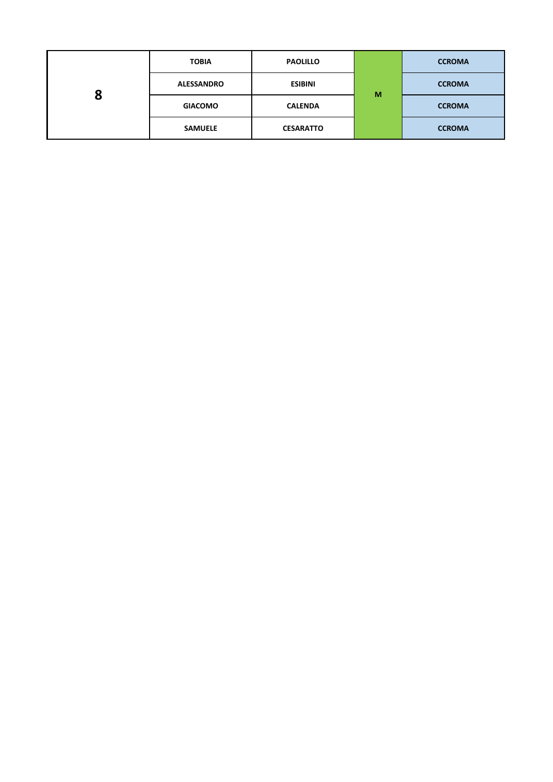|   | <b>TOBIA</b>      | <b>PAOLILLO</b>  |   | <b>CCROMA</b> |
|---|-------------------|------------------|---|---------------|
|   | <b>ALESSANDRO</b> | <b>ESIBINI</b>   | M | <b>CCROMA</b> |
| 8 | <b>GIACOMO</b>    | <b>CALENDA</b>   |   | <b>CCROMA</b> |
|   | <b>SAMUELE</b>    | <b>CESARATTO</b> |   | <b>CCROMA</b> |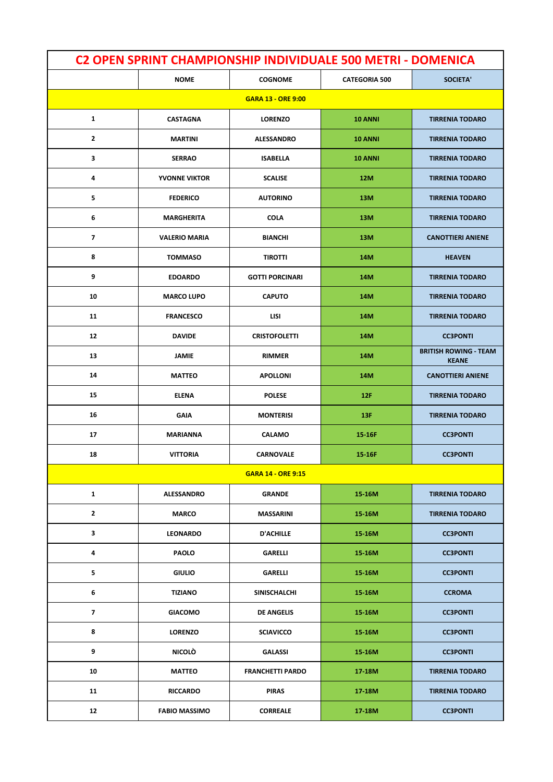| <b>C2 OPEN SPRINT CHAMPIONSHIP INDIVIDUALE 500 METRI - DOMENICA</b> |                      |                           |                      |                                              |  |
|---------------------------------------------------------------------|----------------------|---------------------------|----------------------|----------------------------------------------|--|
|                                                                     | <b>NOME</b>          | <b>COGNOME</b>            | <b>CATEGORIA 500</b> | <b>SOCIETA'</b>                              |  |
|                                                                     |                      | <b>GARA 13 - ORE 9:00</b> |                      |                                              |  |
| 1                                                                   | <b>CASTAGNA</b>      | <b>LORENZO</b>            | 10 ANNI              | <b>TIRRENIA TODARO</b>                       |  |
| $\mathbf{2}$                                                        | <b>MARTINI</b>       | <b>ALESSANDRO</b>         | 10 ANNI              | <b>TIRRENIA TODARO</b>                       |  |
| 3                                                                   | <b>SERRAO</b>        | <b>ISABELLA</b>           | 10 ANNI              | <b>TIRRENIA TODARO</b>                       |  |
| 4                                                                   | <b>YVONNE VIKTOR</b> | <b>SCALISE</b>            | 12M                  | <b>TIRRENIA TODARO</b>                       |  |
| 5                                                                   | <b>FEDERICO</b>      | <b>AUTORINO</b>           | 13M                  | <b>TIRRENIA TODARO</b>                       |  |
| 6                                                                   | <b>MARGHERITA</b>    | <b>COLA</b>               | 13M                  | <b>TIRRENIA TODARO</b>                       |  |
| $\overline{\phantom{a}}$                                            | <b>VALERIO MARIA</b> | <b>BIANCHI</b>            | 13M                  | <b>CANOTTIERI ANIENE</b>                     |  |
| 8                                                                   | <b>TOMMASO</b>       | <b>TIROTTI</b>            | 14M                  | <b>HEAVEN</b>                                |  |
| 9                                                                   | <b>EDOARDO</b>       | <b>GOTTI PORCINARI</b>    | 14M                  | <b>TIRRENIA TODARO</b>                       |  |
| 10                                                                  | <b>MARCO LUPO</b>    | <b>CAPUTO</b>             | 14M                  | <b>TIRRENIA TODARO</b>                       |  |
| 11                                                                  | <b>FRANCESCO</b>     | LISI                      | 14M                  | <b>TIRRENIA TODARO</b>                       |  |
| 12                                                                  | <b>DAVIDE</b>        | <b>CRISTOFOLETTI</b>      | 14M                  | <b>CC3PONTI</b>                              |  |
| 13                                                                  | <b>JAMIE</b>         | <b>RIMMER</b>             | 14M                  | <b>BRITISH ROWING - TEAM</b><br><b>KEANE</b> |  |
| 14                                                                  | <b>MATTEO</b>        | <b>APOLLONI</b>           | 14M                  | <b>CANOTTIERI ANIENE</b>                     |  |
| 15                                                                  | <b>ELENA</b>         | <b>POLESE</b>             | 12F                  | <b>TIRRENIA TODARO</b>                       |  |
| 16                                                                  | <b>GAIA</b>          | <b>MONTERISI</b>          | 13F                  | <b>TIRRENIA TODARO</b>                       |  |
| 17                                                                  | <b>MARIANNA</b>      | <b>CALAMO</b>             | 15-16F               | <b>CC3PONTI</b>                              |  |
| 18                                                                  | <b>VITTORIA</b>      | <b>CARNOVALE</b>          | 15-16F               | <b>CC3PONTI</b>                              |  |
|                                                                     |                      | <b>GARA 14 - ORE 9:15</b> |                      |                                              |  |
| $\mathbf{1}$                                                        | <b>ALESSANDRO</b>    | <b>GRANDE</b>             | 15-16M               | <b>TIRRENIA TODARO</b>                       |  |
| 2                                                                   | <b>MARCO</b>         | <b>MASSARINI</b>          | 15-16M               | <b>TIRRENIA TODARO</b>                       |  |
| 3                                                                   | <b>LEONARDO</b>      | <b>D'ACHILLE</b>          | 15-16M               | <b>CC3PONTI</b>                              |  |
| 4                                                                   | <b>PAOLO</b>         | <b>GARELLI</b>            | 15-16M               | <b>CC3PONTI</b>                              |  |
| 5                                                                   | <b>GIULIO</b>        | <b>GARELLI</b>            | 15-16M               | <b>CC3PONTI</b>                              |  |
| 6                                                                   | <b>TIZIANO</b>       | SINISCHALCHI              | 15-16M               | <b>CCROMA</b>                                |  |
| $\overline{\phantom{a}}$                                            | <b>GIACOMO</b>       | <b>DE ANGELIS</b>         | 15-16M               | <b>CC3PONTI</b>                              |  |
| 8                                                                   | <b>LORENZO</b>       | <b>SCIAVICCO</b>          | 15-16M               | <b>CC3PONTI</b>                              |  |
| 9                                                                   | <b>NICOLO</b>        | <b>GALASSI</b>            | 15-16M               | <b>CC3PONTI</b>                              |  |
| 10                                                                  | <b>MATTEO</b>        | <b>FRANCHETTI PARDO</b>   | 17-18M               | <b>TIRRENIA TODARO</b>                       |  |
| 11                                                                  | <b>RICCARDO</b>      | <b>PIRAS</b>              | 17-18M               | <b>TIRRENIA TODARO</b>                       |  |
| 12                                                                  | <b>FABIO MASSIMO</b> | <b>CORREALE</b>           | 17-18M               | <b>CC3PONTI</b>                              |  |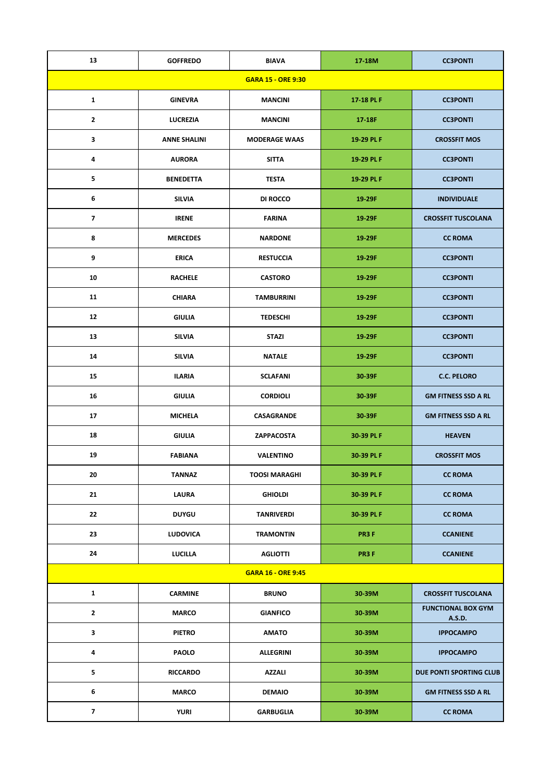| 13                       | <b>GOFFREDO</b>     | <b>BIAVA</b>              | 17-18M     | <b>CC3PONTI</b>                     |
|--------------------------|---------------------|---------------------------|------------|-------------------------------------|
|                          |                     | <b>GARA 15 - ORE 9:30</b> |            |                                     |
| $\mathbf{1}$             | <b>GINEVRA</b>      | <b>MANCINI</b>            | 17-18 PL F | <b>CC3PONTI</b>                     |
| $\overline{2}$           | <b>LUCREZIA</b>     | <b>MANCINI</b>            | 17-18F     | <b>CC3PONTI</b>                     |
| 3                        | <b>ANNE SHALINI</b> | <b>MODERAGE WAAS</b>      | 19-29 PL F | <b>CROSSFIT MOS</b>                 |
| 4                        | <b>AURORA</b>       | <b>SITTA</b>              | 19-29 PL F | <b>CC3PONTI</b>                     |
| 5                        | <b>BENEDETTA</b>    | <b>TESTA</b>              | 19-29 PL F | <b>CC3PONTI</b>                     |
| 6                        | <b>SILVIA</b>       | DI ROCCO                  | 19-29F     | <b>INDIVIDUALE</b>                  |
| $\overline{\phantom{a}}$ | <b>IRENE</b>        | <b>FARINA</b>             | 19-29F     | <b>CROSSFIT TUSCOLANA</b>           |
| 8                        | <b>MERCEDES</b>     | <b>NARDONE</b>            | 19-29F     | <b>CC ROMA</b>                      |
| 9                        | <b>ERICA</b>        | <b>RESTUCCIA</b>          | 19-29F     | <b>CC3PONTI</b>                     |
| 10                       | <b>RACHELE</b>      | <b>CASTORO</b>            | 19-29F     | <b>CC3PONTI</b>                     |
| 11                       | <b>CHIARA</b>       | <b>TAMBURRINI</b>         | 19-29F     | <b>CC3PONTI</b>                     |
| 12                       | <b>GIULIA</b>       | <b>TEDESCHI</b>           | 19-29F     | <b>CC3PONTI</b>                     |
| 13                       | <b>SILVIA</b>       | <b>STAZI</b>              | 19-29F     | <b>CC3PONTI</b>                     |
| 14                       | <b>SILVIA</b>       | <b>NATALE</b>             | 19-29F     | <b>CC3PONTI</b>                     |
| 15                       | <b>ILARIA</b>       | <b>SCLAFANI</b>           | 30-39F     | <b>C.C. PELORO</b>                  |
| 16                       | <b>GIULIA</b>       | <b>CORDIOLI</b>           | 30-39F     | <b>GM FITNESS SSD A RL</b>          |
| 17                       | <b>MICHELA</b>      | CASAGRANDE                | 30-39F     | <b>GM FITNESS SSD A RL</b>          |
| 18                       | <b>GIULIA</b>       | ZAPPACOSTA                | 30-39 PL F | <b>HEAVEN</b>                       |
| 19                       | <b>FABIANA</b>      | <b>VALENTINO</b>          | 30-39 PL F | <b>CROSSFIT MOS</b>                 |
| 20                       | <b>TANNAZ</b>       | <b>TOOSI MARAGHI</b>      | 30-39 PL F | <b>CC ROMA</b>                      |
| 21                       | <b>LAURA</b>        | <b>GHIOLDI</b>            | 30-39 PL F | <b>CC ROMA</b>                      |
| 22                       | <b>DUYGU</b>        | <b>TANRIVERDI</b>         | 30-39 PL F | <b>CC ROMA</b>                      |
| 23                       | <b>LUDOVICA</b>     | <b>TRAMONTIN</b>          | PR3F       | <b>CCANIENE</b>                     |
| 24                       | LUCILLA             | <b>AGLIOTTI</b>           | PR3F       | <b>CCANIENE</b>                     |
|                          |                     | <b>GARA 16 - ORE 9:45</b> |            |                                     |
| $\mathbf{1}$             | <b>CARMINE</b>      | <b>BRUNO</b>              | 30-39M     | <b>CROSSFIT TUSCOLANA</b>           |
| $\mathbf{2}$             | <b>MARCO</b>        | <b>GIANFICO</b>           | 30-39M     | <b>FUNCTIONAL BOX GYM</b><br>A.S.D. |
| 3                        | <b>PIETRO</b>       | <b>AMATO</b>              | 30-39M     | <b>IPPOCAMPO</b>                    |
| 4                        | PAOLO               | ALLEGRINI                 | 30-39M     | <b>IPPOCAMPO</b>                    |
| 5                        | <b>RICCARDO</b>     | <b>AZZALI</b>             | 30-39M     | DUE PONTI SPORTING CLUB             |
| 6                        | <b>MARCO</b>        | <b>DEMAIO</b>             | 30-39M     | <b>GM FITNESS SSD A RL</b>          |
| $\overline{\mathbf{z}}$  | <b>YURI</b>         | <b>GARBUGLIA</b>          | 30-39M     | <b>CC ROMA</b>                      |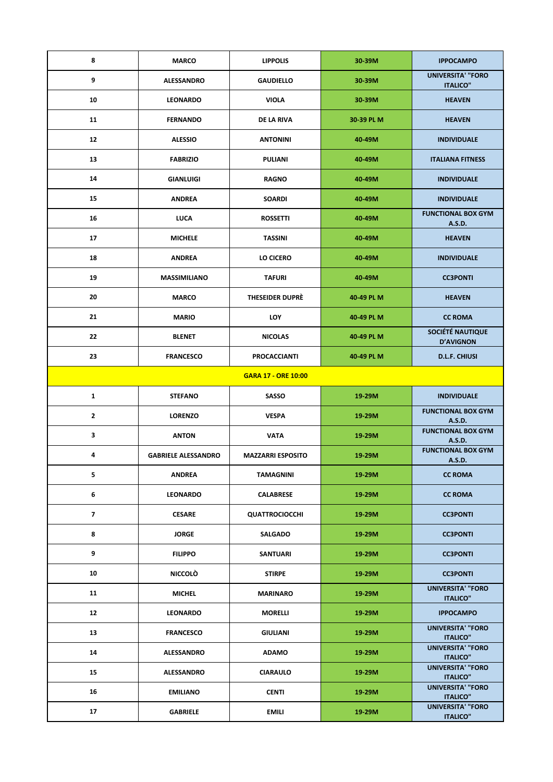| 8                        | <b>MARCO</b>               | <b>LIPPOLIS</b>            | 30-39M     | <b>IPPOCAMPO</b>                            |
|--------------------------|----------------------------|----------------------------|------------|---------------------------------------------|
| 9                        | ALESSANDRO                 | <b>GAUDIELLO</b>           | 30-39M     | <b>UNIVERSITA' "FORO</b><br><b>ITALICO"</b> |
| 10                       | <b>LEONARDO</b>            | <b>VIOLA</b>               | 30-39M     | <b>HEAVEN</b>                               |
| 11                       | <b>FERNANDO</b>            | DE LA RIVA                 | 30-39 PL M | <b>HEAVEN</b>                               |
| 12                       | <b>ALESSIO</b>             | <b>ANTONINI</b>            | 40-49M     | <b>INDIVIDUALE</b>                          |
| 13                       | <b>FABRIZIO</b>            | <b>PULIANI</b>             | 40-49M     | <b>ITALIANA FITNESS</b>                     |
| 14                       | <b>GIANLUIGI</b>           | <b>RAGNO</b>               | 40-49M     | <b>INDIVIDUALE</b>                          |
| 15                       | <b>ANDREA</b>              | <b>SOARDI</b>              | 40-49M     | <b>INDIVIDUALE</b>                          |
| 16                       | <b>LUCA</b>                | <b>ROSSETTI</b>            | 40-49M     | <b>FUNCTIONAL BOX GYM</b><br>A.S.D.         |
| 17                       | <b>MICHELE</b>             | <b>TASSINI</b>             | 40-49M     | <b>HEAVEN</b>                               |
| 18                       | <b>ANDREA</b>              | LO CICERO                  | 40-49M     | <b>INDIVIDUALE</b>                          |
| 19                       | <b>MASSIMILIANO</b>        | <b>TAFURI</b>              | 40-49M     | <b>CC3PONTI</b>                             |
| 20                       | <b>MARCO</b>               | <b>THESEIDER DUPRÈ</b>     | 40-49 PL M | <b>HEAVEN</b>                               |
| 21                       | <b>MARIO</b>               | <b>LOY</b>                 | 40-49 PL M | <b>CC ROMA</b>                              |
| 22                       | <b>BLENET</b>              | <b>NICOLAS</b>             | 40-49 PL M | SOCIÉTÉ NAUTIQUE<br><b>D'AVIGNON</b>        |
| 23                       | <b>FRANCESCO</b>           | <b>PROCACCIANTI</b>        | 40-49 PL M | <b>D.L.F. CHIUSI</b>                        |
|                          |                            | <b>GARA 17 - ORE 10:00</b> |            |                                             |
| $\mathbf{1}$             | <b>STEFANO</b>             | SASSO                      | 19-29M     | <b>INDIVIDUALE</b>                          |
| $\mathbf{2}$             | <b>LORENZO</b>             | <b>VESPA</b>               | 19-29M     | <b>FUNCTIONAL BOX GYM</b>                   |
|                          |                            |                            |            | A.S.D.                                      |
| $\mathbf{3}$             | <b>ANTON</b>               | <b>VATA</b>                | 19-29M     | <b>FUNCTIONAL BOX GYM</b><br>A.S.D.         |
| 4                        | <b>GABRIELE ALESSANDRO</b> | <b>MAZZARRI ESPOSITO</b>   | 19-29M     | <b>FUNCTIONAL BOX GYM</b><br>A.S.D.         |
| 5                        | <b>ANDREA</b>              | <b>TAMAGNINI</b>           | 19-29M     | <b>CC ROMA</b>                              |
| 6                        | <b>LEONARDO</b>            | <b>CALABRESE</b>           | 19-29M     | <b>CC ROMA</b>                              |
| $\overline{\phantom{a}}$ | <b>CESARE</b>              | <b>QUATTROCIOCCHI</b>      | 19-29M     | <b>CC3PONTI</b>                             |
| 8                        | <b>JORGE</b>               | <b>SALGADO</b>             | 19-29M     | <b>CC3PONTI</b>                             |
| 9                        | <b>FILIPPO</b>             | <b>SANTUARI</b>            | 19-29M     | <b>CC3PONTI</b>                             |
| 10                       | <b>NICCOLO</b>             | <b>STIRPE</b>              | 19-29M     | <b>CC3PONTI</b>                             |
| 11                       | <b>MICHEL</b>              | <b>MARINARO</b>            | 19-29M     | <b>UNIVERSITA' "FORO</b><br><b>ITALICO"</b> |
| 12                       | <b>LEONARDO</b>            | <b>MORELLI</b>             | 19-29M     | <b>IPPOCAMPO</b>                            |
| 13                       | <b>FRANCESCO</b>           | <b>GIULIANI</b>            | 19-29M     | <b>UNIVERSITA' "FORO</b><br><b>ITALICO"</b> |
| 14                       | <b>ALESSANDRO</b>          | <b>ADAMO</b>               | 19-29M     | <b>UNIVERSITA' "FORO</b><br><b>ITALICO"</b> |
| 15                       | <b>ALESSANDRO</b>          | <b>CIARAULO</b>            | 19-29M     | <b>UNIVERSITA' "FORO</b><br><b>ITALICO"</b> |
| 16                       | <b>EMILIANO</b>            | <b>CENTI</b>               | 19-29M     | <b>UNIVERSITA' "FORO</b><br><b>ITALICO"</b> |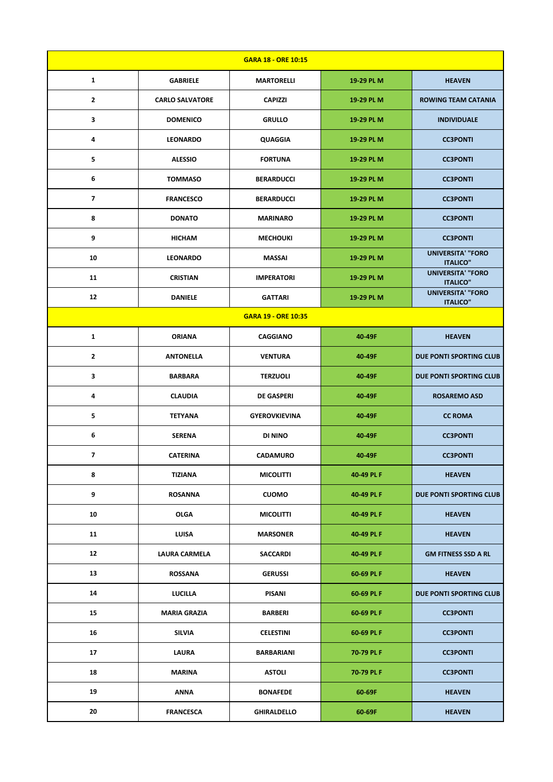| <b>GARA 18 - ORE 10:15</b> |                        |                            |            |                                             |  |
|----------------------------|------------------------|----------------------------|------------|---------------------------------------------|--|
| 1                          | <b>GABRIELE</b>        | <b>MARTORELLI</b>          | 19-29 PL M | <b>HEAVEN</b>                               |  |
| $\mathbf{2}$               | <b>CARLO SALVATORE</b> | <b>CAPIZZI</b>             | 19-29 PL M | <b>ROWING TEAM CATANIA</b>                  |  |
| 3                          | <b>DOMENICO</b>        | <b>GRULLO</b>              | 19-29 PL M | <b>INDIVIDUALE</b>                          |  |
| 4                          | <b>LEONARDO</b>        | <b>QUAGGIA</b>             | 19-29 PL M | <b>CC3PONTI</b>                             |  |
| 5                          | <b>ALESSIO</b>         | <b>FORTUNA</b>             | 19-29 PL M | <b>CC3PONTI</b>                             |  |
| 6                          | <b>TOMMASO</b>         | <b>BERARDUCCI</b>          | 19-29 PL M | <b>CC3PONTI</b>                             |  |
| $\overline{\mathbf{z}}$    | <b>FRANCESCO</b>       | <b>BERARDUCCI</b>          | 19-29 PL M | <b>CC3PONTI</b>                             |  |
| 8                          | <b>DONATO</b>          | <b>MARINARO</b>            | 19-29 PL M | <b>CC3PONTI</b>                             |  |
| 9                          | <b>HICHAM</b>          | <b>MECHOUKI</b>            | 19-29 PL M | <b>CC3PONTI</b>                             |  |
| 10                         | <b>LEONARDO</b>        | <b>MASSAI</b>              | 19-29 PL M | <b>UNIVERSITA' "FORO</b><br><b>ITALICO"</b> |  |
| 11                         | <b>CRISTIAN</b>        | <b>IMPERATORI</b>          | 19-29 PL M | <b>UNIVERSITA' "FORO</b><br><b>ITALICO"</b> |  |
| 12                         | <b>DANIELE</b>         | <b>GATTARI</b>             | 19-29 PL M | <b>UNIVERSITA' "FORO</b><br><b>ITALICO"</b> |  |
|                            |                        | <b>GARA 19 - ORE 10:35</b> |            |                                             |  |
| $\mathbf{1}$               | <b>ORIANA</b>          | <b>CAGGIANO</b>            | 40-49F     | <b>HEAVEN</b>                               |  |
| $\mathbf{2}$               | <b>ANTONELLA</b>       | <b>VENTURA</b>             | 40-49F     | DUE PONTI SPORTING CLUB                     |  |
| 3                          | <b>BARBARA</b>         | <b>TERZUOLI</b>            | 40-49F     | DUE PONTI SPORTING CLUB                     |  |
| 4                          | <b>CLAUDIA</b>         | <b>DE GASPERI</b>          | 40-49F     | <b>ROSAREMO ASD</b>                         |  |
| 5                          | <b>TETYANA</b>         | <b>GYEROVKIEVINA</b>       | 40-49F     | <b>CC ROMA</b>                              |  |
| 6                          | <b>SERENA</b>          | <b>DI NINO</b>             | 40-49F     | <b>CC3PONTI</b>                             |  |
| 7                          | <b>CATERINA</b>        | <b>CADAMURO</b>            | 40-49F     | <b>CC3PONTI</b>                             |  |
| 8                          | <b>TIZIANA</b>         | <b>MICOLITTI</b>           | 40-49 PL F | <b>HEAVEN</b>                               |  |
| 9                          | <b>ROSANNA</b>         | <b>CUOMO</b>               | 40-49 PL F | DUE PONTI SPORTING CLUB                     |  |
| 10                         | <b>OLGA</b>            | <b>MICOLITTI</b>           | 40-49 PL F | <b>HEAVEN</b>                               |  |
| 11                         | LUISA                  | <b>MARSONER</b>            | 40-49 PL F | <b>HEAVEN</b>                               |  |
| 12                         | <b>LAURA CARMELA</b>   | <b>SACCARDI</b>            | 40-49 PL F | <b>GM FITNESS SSD A RL</b>                  |  |
| 13                         | <b>ROSSANA</b>         | <b>GERUSSI</b>             | 60-69 PL F | <b>HEAVEN</b>                               |  |
| 14                         | <b>LUCILLA</b>         | <b>PISANI</b>              | 60-69 PL F | DUE PONTI SPORTING CLUB                     |  |
| 15                         | <b>MARIA GRAZIA</b>    | <b>BARBERI</b>             | 60-69 PL F | <b>CC3PONTI</b>                             |  |
| 16                         | <b>SILVIA</b>          | <b>CELESTINI</b>           | 60-69 PL F | <b>CC3PONTI</b>                             |  |
| 17                         | <b>LAURA</b>           | BARBARIANI                 | 70 79 PL F | <b>CC3PONTI</b>                             |  |
| 18                         | <b>MARINA</b>          | <b>ASTOLI</b>              | 70 79 PL F | <b>CC3PONTI</b>                             |  |
| 19                         | <b>ANNA</b>            | <b>BONAFEDE</b>            | 60-69F     | <b>HEAVEN</b>                               |  |
| 20                         | <b>FRANCESCA</b>       | <b>GHIRALDELLO</b>         | 60-69F     | <b>HEAVEN</b>                               |  |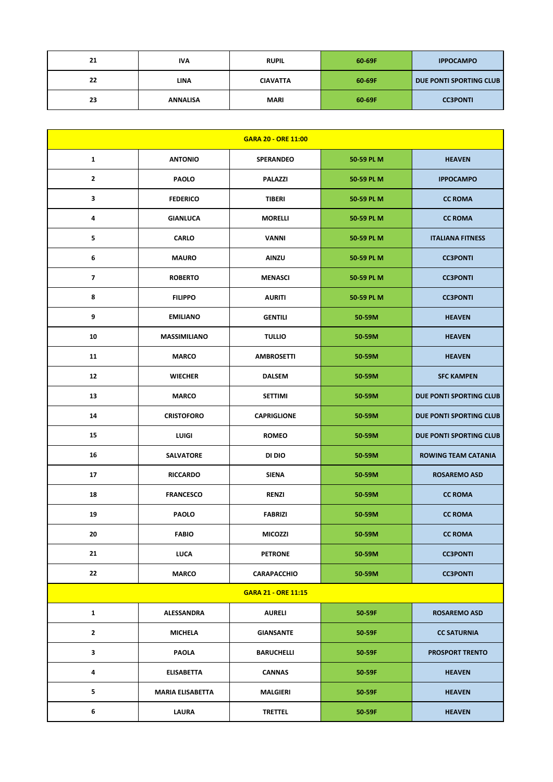| 21 | <b>IVA</b>      | <b>RUPIL</b>    | 60-69F | <b>IPPOCAMPO</b>        |
|----|-----------------|-----------------|--------|-------------------------|
| 22 | <b>LINA</b>     | <b>CIAVATTA</b> | 60-69F | DUE PONTI SPORTING CLUB |
| 23 | <b>ANNALISA</b> | <b>MARI</b>     | 60-69F | <b>CC3PONTI</b>         |

|                          |                         | <b>GARA 20 - ORE 11:00</b> |            |                            |
|--------------------------|-------------------------|----------------------------|------------|----------------------------|
| $\mathbf{1}$             | <b>ANTONIO</b>          | <b>SPERANDEO</b>           | 50-59 PL M | <b>HEAVEN</b>              |
| $\mathbf{2}$             | <b>PAOLO</b>            | <b>PALAZZI</b>             | 50-59 PL M | <b>IPPOCAMPO</b>           |
| 3                        | <b>FEDERICO</b>         | <b>TIBERI</b>              | 50-59 PL M | <b>CC ROMA</b>             |
| 4                        | <b>GIANLUCA</b>         | <b>MORELLI</b>             | 50-59 PL M | <b>CC ROMA</b>             |
| 5                        | <b>CARLO</b>            | VANNI                      | 50-59 PL M | <b>ITALIANA FITNESS</b>    |
| 6                        | <b>MAURO</b>            | <b>AINZU</b>               | 50-59 PL M | <b>CC3PONTI</b>            |
| $\overline{\phantom{a}}$ | <b>ROBERTO</b>          | <b>MENASCI</b>             | 50-59 PL M | <b>CC3PONTI</b>            |
| 8                        | <b>FILIPPO</b>          | <b>AURITI</b>              | 50-59 PL M | <b>CC3PONTI</b>            |
| 9                        | <b>EMILIANO</b>         | <b>GENTILI</b>             | 50-59M     | <b>HEAVEN</b>              |
| 10                       | <b>MASSIMILIANO</b>     | <b>TULLIO</b>              | 50-59M     | <b>HEAVEN</b>              |
| 11                       | <b>MARCO</b>            | <b>AMBROSETTI</b>          | 50-59M     | <b>HEAVEN</b>              |
| 12                       | <b>WIECHER</b>          | <b>DALSEM</b>              | 50-59M     | <b>SFC KAMPEN</b>          |
| 13                       | <b>MARCO</b>            | <b>SETTIMI</b>             | 50-59M     | DUE PONTI SPORTING CLUB    |
| 14                       | <b>CRISTOFORO</b>       | <b>CAPRIGLIONE</b>         | 50-59M     | DUE PONTI SPORTING CLUB    |
| 15                       | LUIGI                   | <b>ROMEO</b>               | 50-59M     | DUE PONTI SPORTING CLUB    |
| 16                       | <b>SALVATORE</b>        | DI DIO                     | 50-59M     | <b>ROWING TEAM CATANIA</b> |
| 17                       | <b>RICCARDO</b>         | <b>SIENA</b>               | 50-59M     | <b>ROSAREMO ASD</b>        |
| 18                       | <b>FRANCESCO</b>        | <b>RENZI</b>               | 50-59M     | <b>CC ROMA</b>             |
| 19                       | <b>PAOLO</b>            | <b>FABRIZI</b>             | 50-59M     | <b>CC ROMA</b>             |
| 20                       | <b>FABIO</b>            | <b>MICOZZI</b>             | 50-59M     | <b>CC ROMA</b>             |
| 21                       | <b>LUCA</b>             | <b>PETRONE</b>             | 50-59M     | <b>CC3PONTI</b>            |
| 22                       | <b>MARCO</b>            | <b>CARAPACCHIO</b>         | 50-59M     | <b>CC3PONTI</b>            |
|                          |                         | <b>GARA 21 - ORE 11:15</b> |            |                            |
| $\mathbf{1}$             | ALESSANDRA              | <b>AURELI</b>              | 50-59F     | <b>ROSAREMO ASD</b>        |
| $\mathbf{2}$             | <b>MICHELA</b>          | <b>GIANSANTE</b>           | 50 59F     | <b>CC SATURNIA</b>         |
| 3                        | <b>PAOLA</b>            | <b>BARUCHELLI</b>          | 50 59F     | <b>PROSPORT TRENTO</b>     |
| 4                        | <b>ELISABETTA</b>       | <b>CANNAS</b>              | 50 59F     | <b>HEAVEN</b>              |
| 5                        | <b>MARIA ELISABETTA</b> | <b>MALGIERI</b>            | 50 59F     | <b>HEAVEN</b>              |
| 6                        | <b>LAURA</b>            | <b>TRETTEL</b>             | 50-59F     | <b>HEAVEN</b>              |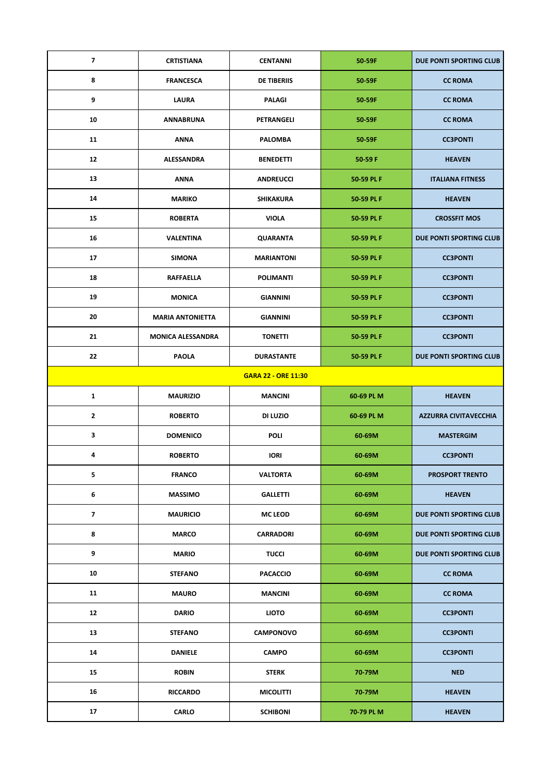| $\overline{\mathbf{z}}$  | <b>CRTISTIANA</b>        | <b>CENTANNI</b>            | 50-59F                 | DUE PONTI SPORTING CLUB        |
|--------------------------|--------------------------|----------------------------|------------------------|--------------------------------|
| 8                        | <b>FRANCESCA</b>         | <b>DE TIBERIIS</b>         | 50-59F                 | <b>CC ROMA</b>                 |
| 9                        | <b>LAURA</b>             | <b>PALAGI</b>              | 50-59F                 | <b>CC ROMA</b>                 |
| 10                       | <b>ANNABRUNA</b>         | PETRANGELI                 | 50-59F                 | <b>CC ROMA</b>                 |
| 11                       | ANNA                     | <b>PALOMBA</b>             | 50 59F                 | <b>CC3PONTI</b>                |
| 12                       | ALESSANDRA               | <b>BENEDETTI</b>           | 50-59 F                | <b>HEAVEN</b>                  |
| 13                       | ANNA                     | <b>ANDREUCCI</b>           | 50-59 PL F             | <b>ITALIANA FITNESS</b>        |
| 14                       | <b>MARIKO</b>            | SHIKAKURA                  | 50-59 PL F             | <b>HEAVEN</b>                  |
| 15                       | <b>ROBERTA</b>           | <b>VIOLA</b>               | 50-59 PL F             | <b>CROSSFIT MOS</b>            |
| 16                       | <b>VALENTINA</b>         | <b>QUARANTA</b>            | 50-59 PL F             | <b>DUE PONTI SPORTING CLUB</b> |
| 17                       | <b>SIMONA</b>            | <b>MARIANTONI</b>          | 50-59 PL F             | <b>CC3PONTI</b>                |
| 18                       | RAFFAELLA                | <b>POLIMANTI</b>           | 50-59 PL F             | <b>CC3PONTI</b>                |
| 19                       | <b>MONICA</b>            | <b>GIANNINI</b>            | 50-59 PL F             | <b>CC3PONTI</b>                |
| 20                       | <b>MARIA ANTONIETTA</b>  | <b>GIANNINI</b>            | 50-59 PL F             | <b>CC3PONTI</b>                |
| 21                       | <b>MONICA ALESSANDRA</b> | <b>TONETTI</b>             | 50-59 PL F             | <b>CC3PONTI</b>                |
| 22                       | <b>PAOLA</b>             | <b>DURASTANTE</b>          | 50-59 PL F             | DUE PONTI SPORTING CLUB        |
|                          |                          | <b>GARA 22 - ORE 11:30</b> |                        |                                |
| $\mathbf{1}$             | <b>MAURIZIO</b>          | <b>MANCINI</b>             | 60-69 PL M             | <b>HEAVEN</b>                  |
| $\mathbf{2}$             | <b>ROBERTO</b>           | DI LUZIO                   | 60-69 PL M             | <b>AZZURRA CIVITAVECCHIA</b>   |
| $\mathbf{3}$             | <b>DOMENICO</b>          | <b>POLI</b>                | 60-69M                 | <b>MASTERGIM</b>               |
| 4                        | <b>ROBERTO</b>           | <b>IORI</b>                | 60-69M                 | <b>CC3PONTI</b>                |
| 5                        | <b>FRANCO</b>            | <b>VALTORTA</b>            | 60-69M                 | <b>PROSPORT TRENTO</b>         |
| 6                        | <b>MASSIMO</b>           | <b>GALLETTI</b>            | 60-69M                 | <b>HEAVEN</b>                  |
| $\overline{\phantom{a}}$ | <b>MAURICIO</b>          | <b>MC LEOD</b>             | 60-69M                 | <b>DUE PONTI SPORTING CLUB</b> |
| 8                        | <b>MARCO</b>             | <b>CARRADORI</b>           | 60-69M                 | DUE PONTI SPORTING CLUB        |
| 9                        |                          |                            | <b>TUCCI</b><br>60-69M |                                |
|                          | <b>MARIO</b>             |                            |                        | DUE PONTI SPORTING CLUB        |
| 10                       | <b>STEFANO</b>           | <b>PACACCIO</b>            | 60-69M                 | <b>CC ROMA</b>                 |
| 11                       | <b>MAURO</b>             | <b>MANCINI</b>             | 60-69M                 | <b>CC ROMA</b>                 |
| 12                       | <b>DARIO</b>             | <b>LIOTO</b>               | 60-69M                 | <b>CC3PONTI</b>                |
| 13                       | <b>STEFANO</b>           | <b>CAMPONOVO</b>           | 60-69M                 | <b>CC3PONTI</b>                |
| 14                       | <b>DANIELE</b>           | <b>CAMPO</b>               | 60-69M                 | <b>CC3PONTI</b>                |
| 15                       | <b>ROBIN</b>             | <b>STERK</b>               | 70-79M                 | <b>NED</b>                     |
| 16                       | <b>RICCARDO</b>          | <b>MICOLITTI</b>           | 70-79M                 | <b>HEAVEN</b>                  |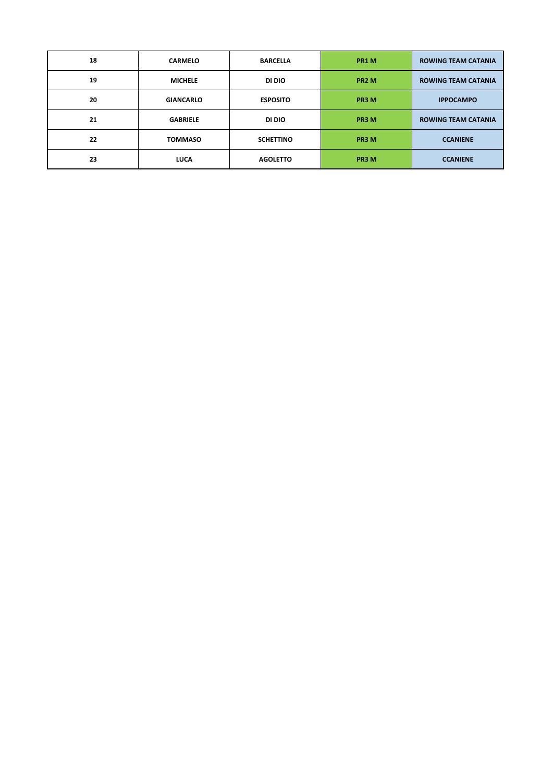| 18 | <b>CARMELO</b>   | <b>BARCELLA</b>  | PR1 M             | <b>ROWING TEAM CATANIA</b> |
|----|------------------|------------------|-------------------|----------------------------|
| 19 | <b>MICHELE</b>   | DI DIO           | PR <sub>2</sub> M | <b>ROWING TEAM CATANIA</b> |
| 20 | <b>GIANCARLO</b> | <b>ESPOSITO</b>  | PR3 M             | <b>IPPOCAMPO</b>           |
| 21 | <b>GABRIELE</b>  | DI DIO           | PR3 M             | <b>ROWING TEAM CATANIA</b> |
| 22 | <b>TOMMASO</b>   | <b>SCHETTINO</b> | PR3 M             | <b>CCANIENE</b>            |
| 23 | <b>LUCA</b>      | <b>AGOLETTO</b>  | PR3 M             | <b>CCANIENE</b>            |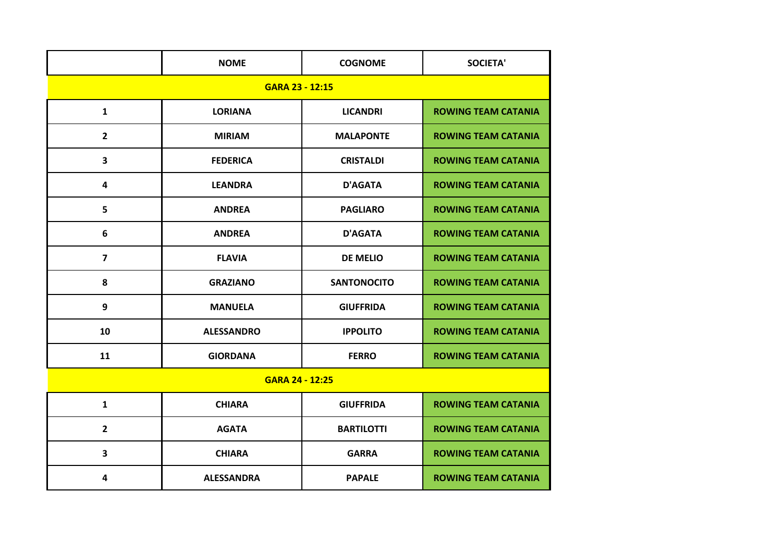|                         | <b>NOME</b>       | <b>COGNOME</b>     | <b>SOCIETA'</b>            |  |  |  |  |
|-------------------------|-------------------|--------------------|----------------------------|--|--|--|--|
| GARA 23 - 12:15         |                   |                    |                            |  |  |  |  |
| $\mathbf{1}$            | <b>LORIANA</b>    | <b>LICANDRI</b>    | <b>ROWING TEAM CATANIA</b> |  |  |  |  |
| $\overline{2}$          | <b>MIRIAM</b>     | <b>MALAPONTE</b>   | <b>ROWING TEAM CATANIA</b> |  |  |  |  |
| 3                       | <b>FEDERICA</b>   | <b>CRISTALDI</b>   | <b>ROWING TEAM CATANIA</b> |  |  |  |  |
| 4                       | <b>LEANDRA</b>    | <b>D'AGATA</b>     | <b>ROWING TEAM CATANIA</b> |  |  |  |  |
| 5                       | <b>ANDREA</b>     | <b>PAGLIARO</b>    | <b>ROWING TEAM CATANIA</b> |  |  |  |  |
| 6                       | <b>ANDREA</b>     | <b>D'AGATA</b>     | <b>ROWING TEAM CATANIA</b> |  |  |  |  |
| $\overline{\mathbf{z}}$ | <b>FLAVIA</b>     | <b>DE MELIO</b>    | <b>ROWING TEAM CATANIA</b> |  |  |  |  |
| 8                       | <b>GRAZIANO</b>   | <b>SANTONOCITO</b> | <b>ROWING TEAM CATANIA</b> |  |  |  |  |
| 9                       | <b>MANUELA</b>    | <b>GIUFFRIDA</b>   | <b>ROWING TEAM CATANIA</b> |  |  |  |  |
| 10                      | <b>ALESSANDRO</b> | <b>IPPOLITO</b>    | <b>ROWING TEAM CATANIA</b> |  |  |  |  |
| 11                      | <b>GIORDANA</b>   | <b>FERRO</b>       | <b>ROWING TEAM CATANIA</b> |  |  |  |  |
|                         | GARA 24 - 12:25   |                    |                            |  |  |  |  |
| 1                       | <b>CHIARA</b>     | <b>GIUFFRIDA</b>   | <b>ROWING TEAM CATANIA</b> |  |  |  |  |
| $\overline{2}$          | <b>AGATA</b>      | <b>BARTILOTTI</b>  | <b>ROWING TEAM CATANIA</b> |  |  |  |  |
| $\overline{\mathbf{3}}$ | <b>CHIARA</b>     | <b>GARRA</b>       | <b>ROWING TEAM CATANIA</b> |  |  |  |  |
| 4                       | <b>ALESSANDRA</b> | <b>PAPALE</b>      | <b>ROWING TEAM CATANIA</b> |  |  |  |  |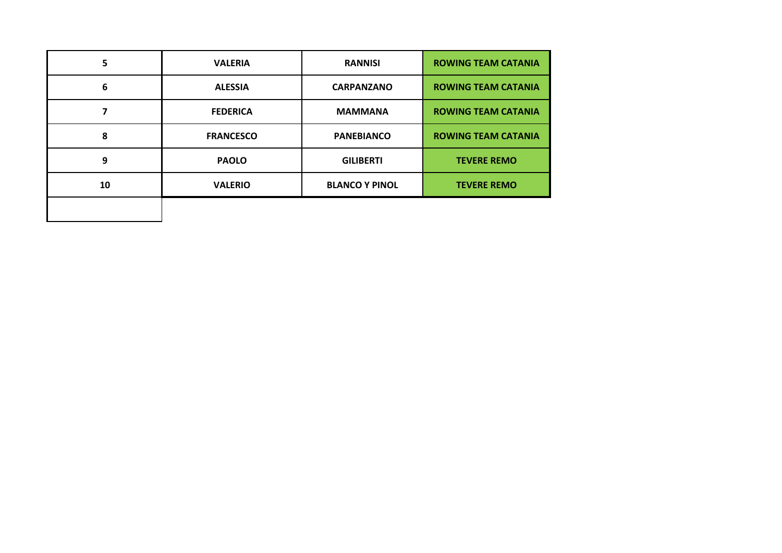| 5  | <b>VALERIA</b>   | <b>RANNISI</b>        | <b>ROWING TEAM CATANIA</b> |
|----|------------------|-----------------------|----------------------------|
| 6  | <b>ALESSIA</b>   | <b>CARPANZANO</b>     | <b>ROWING TEAM CATANIA</b> |
|    | <b>FEDERICA</b>  | <b>MAMMANA</b>        | <b>ROWING TEAM CATANIA</b> |
| 8  | <b>FRANCESCO</b> | <b>PANEBIANCO</b>     | <b>ROWING TEAM CATANIA</b> |
| 9  | <b>PAOLO</b>     | <b>GILIBERTI</b>      | <b>TEVERE REMO</b>         |
| 10 | <b>VALERIO</b>   | <b>BLANCO Y PINOL</b> | <b>TEVERE REMO</b>         |
|    |                  |                       |                            |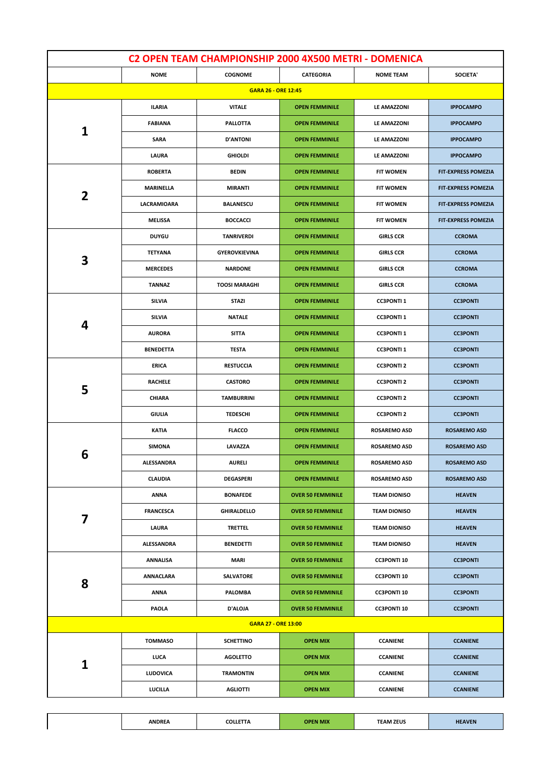| C2 OPEN TEAM CHAMPIONSHIP 2000 4X500 METRI - DOMENICA |                   |                            |                          |                     |                            |
|-------------------------------------------------------|-------------------|----------------------------|--------------------------|---------------------|----------------------------|
|                                                       | <b>NOME</b>       | <b>COGNOME</b>             | <b>CATEGORIA</b>         | <b>NOME TEAM</b>    | SOCIETA'                   |
|                                                       |                   | <b>GARA 26 - ORE 12:45</b> |                          |                     |                            |
|                                                       | ILARIA            | <b>VITALE</b>              | <b>OPEN FEMMINILE</b>    | LE AMAZZONI         | <b>IPPOCAMPO</b>           |
| 1                                                     | <b>FABIANA</b>    | PALLOTTA                   | <b>OPEN FEMMINILE</b>    | LE AMAZZONI         | <b>IPPOCAMPO</b>           |
|                                                       | <b>SARA</b>       | <b>D'ANTONI</b>            | <b>OPEN FEMMINILE</b>    | <b>LE AMAZZONI</b>  | <b>IPPOCAMPO</b>           |
|                                                       | LAURA             | <b>GHIOLDI</b>             | <b>OPEN FEMMINILE</b>    | LE AMAZZONI         | <b>IPPOCAMPO</b>           |
|                                                       | <b>ROBERTA</b>    | <b>BEDIN</b>               | <b>OPEN FEMMINILE</b>    | <b>FIT WOMEN</b>    | <b>FIT-EXPRESS POMEZIA</b> |
| $\overline{\mathbf{2}}$                               | MARINELLA         | MIRANTI                    | <b>OPEN FEMMINILE</b>    | <b>FIT WOMEN</b>    | <b>FIT-EXPRESS POMEZIA</b> |
|                                                       | LACRAMIOARA       | <b>BALANESCU</b>           | <b>OPEN FEMMINILE</b>    | <b>FIT WOMEN</b>    | <b>FIT-EXPRESS POMEZIA</b> |
|                                                       | <b>MELISSA</b>    | <b>BOCCACCI</b>            | <b>OPEN FEMMINILE</b>    | <b>FIT WOMEN</b>    | <b>FIT-EXPRESS POMEZIA</b> |
|                                                       | <b>DUYGU</b>      | <b>TANRIVERDI</b>          | <b>OPEN FEMMINILE</b>    | <b>GIRLS CCR</b>    | <b>CCROMA</b>              |
|                                                       | <b>TETYANA</b>    | <b>GYEROVKIEVINA</b>       | <b>OPEN FEMMINILE</b>    | <b>GIRLS CCR</b>    | <b>CCROMA</b>              |
| 3                                                     | <b>MERCEDES</b>   | <b>NARDONE</b>             | <b>OPEN FEMMINILE</b>    | <b>GIRLS CCR</b>    | <b>CCROMA</b>              |
|                                                       | <b>TANNAZ</b>     | <b>TOOSI MARAGHI</b>       | <b>OPEN FEMMINILE</b>    | <b>GIRLS CCR</b>    | <b>CCROMA</b>              |
|                                                       | <b>SILVIA</b>     | <b>STAZI</b>               | <b>OPEN FEMMINILE</b>    | <b>CC3PONTI1</b>    | <b>CC3PONTI</b>            |
|                                                       | <b>SILVIA</b>     | <b>NATALE</b>              | <b>OPEN FEMMINILE</b>    | <b>CC3PONTI1</b>    | <b>CC3PONTI</b>            |
| 4                                                     | <b>AURORA</b>     | <b>SITTA</b>               | <b>OPEN FEMMINILE</b>    | <b>CC3PONTI1</b>    | <b>CC3PONTI</b>            |
|                                                       | <b>BENEDETTA</b>  | <b>TESTA</b>               | <b>OPEN FEMMINILE</b>    | <b>CC3PONTI1</b>    | <b>CC3PONTI</b>            |
|                                                       | ERICA             | <b>RESTUCCIA</b>           | <b>OPEN FEMMINILE</b>    | <b>CC3PONTI 2</b>   | <b>CC3PONTI</b>            |
|                                                       | <b>RACHELE</b>    | <b>CASTORO</b>             | <b>OPEN FEMMINILE</b>    | <b>CC3PONTI 2</b>   | <b>CC3PONTI</b>            |
| 5                                                     | <b>CHIARA</b>     | <b>TAMBURRINI</b>          | <b>OPEN FEMMINILE</b>    | <b>CC3PONTI 2</b>   | <b>CC3PONTI</b>            |
|                                                       | <b>GIULIA</b>     | <b>TEDESCHI</b>            | <b>OPEN FEMMINILE</b>    | <b>CC3PONTI 2</b>   | <b>CC3PONTI</b>            |
|                                                       | KATIA             | <b>FLACCO</b>              | <b>OPEN FEMMINILE</b>    | <b>ROSAREMO ASD</b> | <b>ROSAREMO ASD</b>        |
|                                                       | <b>SIMONA</b>     | LAVAZZA                    | <b>OPEN FEMMINILE</b>    | <b>ROSAREMO ASD</b> | <b>ROSAREMO ASD</b>        |
| 6                                                     | <b>ALESSANDRA</b> | <b>AURELI</b>              | <b>OPEN FEMMINILE</b>    | <b>ROSAREMO ASD</b> | <b>ROSAREMO ASD</b>        |
|                                                       | <b>CLAUDIA</b>    | <b>DEGASPERI</b>           | <b>OPEN FEMMINILE</b>    | <b>ROSAREMO ASD</b> | <b>ROSAREMO ASD</b>        |
|                                                       | <b>ANNA</b>       | <b>BONAFEDE</b>            | <b>OVER 50 FEMMINILE</b> | <b>TEAM DIONISO</b> | <b>HEAVEN</b>              |
|                                                       | <b>FRANCESCA</b>  | GHIRALDELLO                | <b>OVER 50 FEMMINILE</b> | <b>TEAM DIONISO</b> | <b>HEAVEN</b>              |
| 7                                                     | LAURA             | <b>TRETTEL</b>             | <b>OVER 50 FEMMINILE</b> | <b>TEAM DIONISO</b> | <b>HEAVEN</b>              |
|                                                       | ALESSANDRA        | <b>BENEDETTI</b>           | <b>OVER 50 FEMMINILE</b> | <b>TEAM DIONISO</b> | <b>HEAVEN</b>              |
|                                                       | ANNALISA          | MARI                       | <b>OVER 50 FEMMINILE</b> | <b>CC3PONTI 10</b>  | <b>CC3PONTI</b>            |
|                                                       | ANNACLARA         | SALVATORE                  | <b>OVER 50 FEMMINILE</b> | <b>CC3PONTI 10</b>  | <b>CC3PONTI</b>            |
| 8                                                     | ANNA              | PALOMBA                    | <b>OVER 50 FEMMINILE</b> | <b>CC3PONTI 10</b>  | <b>CC3PONTI</b>            |
|                                                       | PAOLA             | D'ALOJA                    | <b>OVER 50 FEMMINILE</b> | <b>CC3PONTI 10</b>  | <b>CC3PONTI</b>            |
|                                                       |                   | <b>GARA 27 - ORE 13:00</b> |                          |                     |                            |
|                                                       | <b>TOMMASO</b>    | <b>SCHETTINO</b>           | <b>OPEN MIX</b>          | <b>CCANIENE</b>     | <b>CCANIENE</b>            |
|                                                       | LUCA              | <b>AGOLETTO</b>            | <b>OPEN MIX</b>          | <b>CCANIENE</b>     | <b>CCANIENE</b>            |
| 1                                                     | LUDOVICA          | <b>TRAMONTIN</b>           | <b>OPEN MIX</b>          | <b>CCANIENE</b>     | <b>CCANIENE</b>            |
|                                                       | <b>LUCILLA</b>    | <b>AGLIOTTI</b>            | <b>OPEN MIX</b>          | <b>CCANIENE</b>     | <b>CCANIENE</b>            |
|                                                       |                   |                            |                          |                     |                            |

**ANDREA COLLETTA OPEN MIX TEAM ZEUS HEAVEN**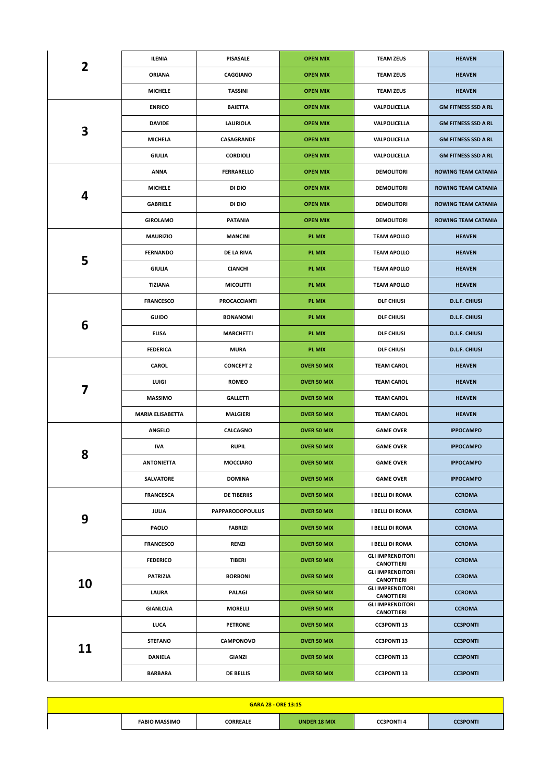| 2  | ILENIA                  | <b>PISASALE</b>        | <b>OPEN MIX</b>    | <b>TEAM ZEUS</b>                             | <b>HEAVEN</b>              |
|----|-------------------------|------------------------|--------------------|----------------------------------------------|----------------------------|
|    | <b>ORIANA</b>           | CAGGIANO               | <b>OPEN MIX</b>    | <b>TEAM ZEUS</b>                             | <b>HEAVEN</b>              |
|    | <b>MICHELE</b>          | <b>TASSINI</b>         | <b>OPEN MIX</b>    | <b>TEAM ZEUS</b>                             | <b>HEAVEN</b>              |
|    | <b>ENRICO</b>           | <b>BAIETTA</b>         | <b>OPEN MIX</b>    | VALPOLICELLA                                 | <b>GM FITNESS SSD A RL</b> |
|    | <b>DAVIDE</b>           | LAURIOLA               | <b>OPEN MIX</b>    | VALPOLICELLA                                 | <b>GM FITNESS SSD A RL</b> |
| 3  | <b>MICHELA</b>          | CASAGRANDE             | <b>OPEN MIX</b>    | VALPOLICELLA                                 | <b>GM FITNESS SSD A RL</b> |
|    | <b>GIULIA</b>           | <b>CORDIOLI</b>        | <b>OPEN MIX</b>    | VALPOLICELLA                                 | <b>GM FITNESS SSD A RL</b> |
|    | <b>ANNA</b>             | <b>FERRARELLO</b>      | <b>OPEN MIX</b>    | <b>DEMOLITORI</b>                            | <b>ROWING TEAM CATANIA</b> |
|    | <b>MICHELE</b>          | DI DIO                 | <b>OPEN MIX</b>    | <b>DEMOLITORI</b>                            | <b>ROWING TEAM CATANIA</b> |
| 4  | <b>GABRIELE</b>         | DI DIO                 | <b>OPEN MIX</b>    | <b>DEMOLITORI</b>                            | <b>ROWING TEAM CATANIA</b> |
|    | <b>GIROLAMO</b>         | <b>PATANIA</b>         | <b>OPEN MIX</b>    | <b>DEMOLITORI</b>                            | <b>ROWING TEAM CATANIA</b> |
|    | <b>MAURIZIO</b>         | <b>MANCINI</b>         | PL MIX             | <b>TEAM APOLLO</b>                           | <b>HEAVEN</b>              |
|    | <b>FERNANDO</b>         | DE LA RIVA             | <b>PL MIX</b>      | <b>TEAM APOLLO</b>                           | <b>HEAVEN</b>              |
| 5  | <b>GIULIA</b>           | <b>CIANCHI</b>         | PL MIX             | <b>TEAM APOLLO</b>                           | <b>HEAVEN</b>              |
|    | TIZIANA                 | <b>MICOLITTI</b>       | PL MIX             | <b>TEAM APOLLO</b>                           | <b>HEAVEN</b>              |
|    | <b>FRANCESCO</b>        | <b>PROCACCIANTI</b>    | <b>PL MIX</b>      | <b>DLF CHIUSI</b>                            | <b>D.L.F. CHIUSI</b>       |
|    | <b>GUIDO</b>            | <b>BONANOMI</b>        | PL MIX             | <b>DLF CHIUSI</b>                            | <b>D.L.F. CHIUSI</b>       |
| 6  | <b>ELISA</b>            | <b>MARCHETTI</b>       | PL MIX             | <b>DLF CHIUSI</b>                            | <b>D.L.F. CHIUSI</b>       |
|    | <b>FEDERICA</b>         | <b>MURA</b>            | PL MIX             | <b>DLF CHIUSI</b>                            | <b>D.L.F. CHIUSI</b>       |
|    | <b>CAROL</b>            | <b>CONCEPT 2</b>       | OVER 50 MIX        | <b>TEAM CAROL</b>                            | <b>HEAVEN</b>              |
| 7  | LUIGI                   | <b>ROMEO</b>           | <b>OVER 50 MIX</b> | <b>TEAM CAROL</b>                            | <b>HEAVEN</b>              |
|    | <b>MASSIMO</b>          | <b>GALLETTI</b>        | <b>OVER 50 MIX</b> | <b>TEAM CAROL</b>                            | <b>HEAVEN</b>              |
|    | <b>MARIA ELISABETTA</b> | <b>MALGIERI</b>        | <b>OVER 50 MIX</b> | <b>TEAM CAROL</b>                            | <b>HEAVEN</b>              |
|    | <b>ANGELO</b>           | CALCAGNO               | <b>OVER 50 MIX</b> | <b>GAME OVER</b>                             | <b>IPPOCAMPO</b>           |
| 8  | <b>IVA</b>              | <b>RUPIL</b>           | <b>OVER 50 MIX</b> | <b>GAME OVER</b>                             | <b>IPPOCAMPO</b>           |
|    | <b>ANTONIETTA</b>       | <b>MOCCIARO</b>        | <b>OVER 50 MIX</b> | <b>GAME OVER</b>                             | <b>IPPOCAMPO</b>           |
|    | SALVATORE               | <b>DOMINA</b>          | <b>OVER 50 MIX</b> | <b>GAME OVER</b>                             | <b>IPPOCAMPO</b>           |
|    | <b>FRANCESCA</b>        | <b>DE TIBERIIS</b>     | <b>OVER 50 MIX</b> | <b>I BELLI DI ROMA</b>                       | <b>CCROMA</b>              |
| 9  | JULIA                   | <b>PAPPARODOPOULUS</b> | <b>OVER 50 MIX</b> | <b>I BELLI DI ROMA</b>                       | <b>CCROMA</b>              |
|    | PAOLO                   | <b>FABRIZI</b>         | OVER 50 MIX        | <b>I BELLI DI ROMA</b>                       | <b>CCROMA</b>              |
|    | <b>FRANCESCO</b>        | <b>RENZI</b>           | <b>OVER 50 MIX</b> | <b>I BELLI DI ROMA</b>                       | <b>CCROMA</b>              |
|    | <b>FEDERICO</b>         | <b>TIBERI</b>          | <b>OVER 50 MIX</b> | <b>GLI IMPRENDITORI</b><br><b>CANOTTIERI</b> | <b>CCROMA</b>              |
| 10 | PATRIZIA                | <b>BORBONI</b>         | <b>OVER 50 MIX</b> | <b>GLI IMPRENDITORI</b><br><b>CANOTTIERI</b> | <b>CCROMA</b>              |
|    | LAURA                   | PALAGI                 | <b>OVER 50 MIX</b> | <b>GLI IMPRENDITORI</b><br><b>CANOTTIERI</b> | <b>CCROMA</b>              |
|    | <b>GIANLCUA</b>         | <b>MORELLI</b>         | <b>OVER 50 MIX</b> | <b>GLI IMPRENDITORI</b><br><b>CANOTTIERI</b> | <b>CCROMA</b>              |
|    | LUCA                    | <b>PETRONE</b>         | <b>OVER 50 MIX</b> | <b>CC3PONTI 13</b>                           | <b>CC3PONTI</b>            |
|    | <b>STEFANO</b>          | <b>CAMPONOVO</b>       | <b>OVER 50 MIX</b> | <b>CC3PONTI 13</b>                           | <b>CC3PONTI</b>            |
| 11 | <b>DANIELA</b>          | GIANZI                 | <b>OVER 50 MIX</b> | <b>CC3PONTI 13</b>                           | <b>CC3PONTI</b>            |
|    | <b>BARBARA</b>          | <b>DE BELLIS</b>       | <b>OVER 50 MIX</b> | <b>CC3PONTI 13</b>                           | <b>CC3PONTI</b>            |

| <b>GARA 28 - ORE 13:15</b> |                      |                 |                     |                  |                 |
|----------------------------|----------------------|-----------------|---------------------|------------------|-----------------|
|                            | <b>FABIO MASSIMO</b> | <b>CORREALE</b> | <b>UNDER 18 MIX</b> | <b>CC3PONTI4</b> | <b>CC3PONTI</b> |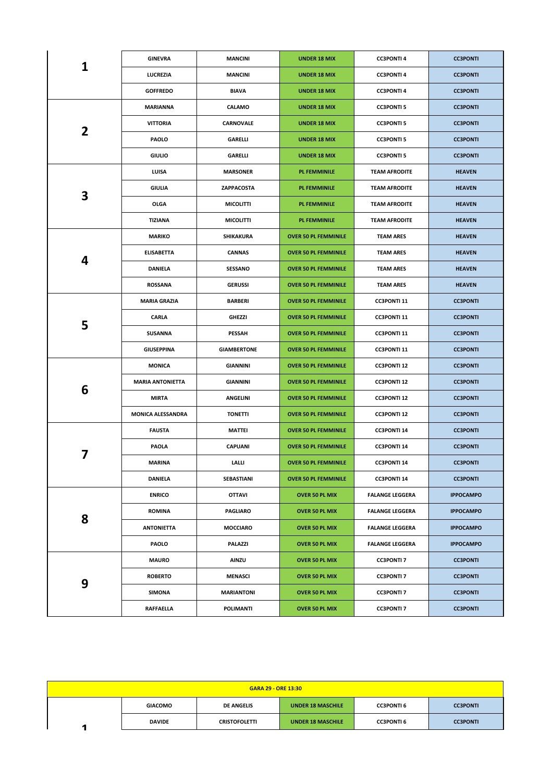|              | <b>GINEVRA</b>          | <b>MANCINI</b>     | <b>UNDER 18 MIX</b>         | <b>CC3PONTI4</b>       | <b>CC3PONTI</b>  |
|--------------|-------------------------|--------------------|-----------------------------|------------------------|------------------|
| 1            | LUCREZIA                | <b>MANCINI</b>     | <b>UNDER 18 MIX</b>         | <b>CC3PONTI4</b>       | <b>CC3PONTI</b>  |
|              | <b>GOFFREDO</b>         | <b>BIAVA</b>       | <b>UNDER 18 MIX</b>         | <b>CC3PONTI4</b>       | <b>CC3PONTI</b>  |
|              | MARIANNA                | <b>CALAMO</b>      | <b>UNDER 18 MIX</b>         | <b>CC3PONTI 5</b>      | <b>CC3PONTI</b>  |
|              | <b>VITTORIA</b>         | CARNOVALE          | <b>UNDER 18 MIX</b>         | <b>CC3PONTI 5</b>      | <b>CC3PONTI</b>  |
| $\mathbf{2}$ | <b>PAOLO</b>            | <b>GARELLI</b>     | <b>UNDER 18 MIX</b>         | <b>CC3PONTI 5</b>      | <b>CC3PONTI</b>  |
|              | <b>GIULIO</b>           | GARELLI            | <b>UNDER 18 MIX</b>         | <b>CC3PONTI 5</b>      | <b>CC3PONTI</b>  |
|              | LUISA                   | <b>MARSONER</b>    | <b>PL FEMMINILE</b>         | <b>TEAM AFRODITE</b>   | <b>HEAVEN</b>    |
|              | GIULIA                  | ZAPPACOSTA         | <b>PL FEMMINILE</b>         | <b>TEAM AFRODITE</b>   | <b>HEAVEN</b>    |
| 3            | OLGA                    | <b>MICOLITTI</b>   | <b>PL FEMMINILE</b>         | <b>TEAM AFRODITE</b>   | <b>HEAVEN</b>    |
|              | <b>TIZIANA</b>          | <b>MICOLITTI</b>   | <b>PL FEMMINILE</b>         | <b>TEAM AFRODITE</b>   | <b>HEAVEN</b>    |
|              | <b>MARIKO</b>           | SHIKAKURA          | <b>OVER 50 PL FEMMINILE</b> | <b>TEAM ARES</b>       | <b>HEAVEN</b>    |
|              | <b>ELISABETTA</b>       | <b>CANNAS</b>      | <b>OVER 50 PL FEMMINILE</b> | <b>TEAM ARES</b>       | <b>HEAVEN</b>    |
| 4            | DANIELA                 | <b>SESSANO</b>     | <b>OVER 50 PL FEMMINILE</b> | <b>TEAM ARES</b>       | <b>HEAVEN</b>    |
|              | <b>ROSSANA</b>          | <b>GERUSSI</b>     | <b>OVER 50 PL FEMMINILE</b> | <b>TEAM ARES</b>       | <b>HEAVEN</b>    |
|              | <b>MARIA GRAZIA</b>     | <b>BARBERI</b>     | <b>OVER 50 PL FEMMINILE</b> | <b>CC3PONTI 11</b>     | <b>CC3PONTI</b>  |
|              | CARLA                   | <b>GHEZZI</b>      | <b>OVER 50 PL FEMMINILE</b> | <b>CC3PONTI 11</b>     | <b>CC3PONTI</b>  |
| 5            | <b>SUSANNA</b>          | <b>PESSAH</b>      | <b>OVER 50 PL FEMMINILE</b> | <b>CC3PONTI 11</b>     | <b>CC3PONTI</b>  |
|              | <b>GIUSEPPINA</b>       | <b>GIAMBERTONE</b> | <b>OVER 50 PL FEMMINILE</b> | <b>CC3PONTI 11</b>     | <b>CC3PONTI</b>  |
|              | <b>MONICA</b>           | <b>GIANNINI</b>    | <b>OVER 50 PL FEMMINILE</b> | <b>CC3PONTI 12</b>     | <b>CC3PONTI</b>  |
| 6            | <b>MARIA ANTONIETTA</b> | <b>GIANNINI</b>    | <b>OVER 50 PL FEMMINILE</b> | <b>CC3PONTI 12</b>     | <b>CC3PONTI</b>  |
|              | <b>MIRTA</b>            | <b>ANGELINI</b>    | <b>OVER 50 PL FEMMINILE</b> | <b>CC3PONTI 12</b>     | <b>CC3PONTI</b>  |
|              | MONICA ALESSANDRA       | <b>TONETTI</b>     | <b>OVER 50 PL FEMMINILE</b> | <b>CC3PONTI 12</b>     | <b>CC3PONTI</b>  |
|              | <b>FAUSTA</b>           | <b>MATTEI</b>      | <b>OVER 50 PL FEMMINILE</b> | <b>CC3PONTI 14</b>     | <b>CC3PONTI</b>  |
| 7            | PAOLA                   | <b>CAPUANI</b>     | <b>OVER 50 PL FEMMINILE</b> | <b>CC3PONTI 14</b>     | <b>CC3PONTI</b>  |
|              | <b>MARINA</b>           | LALLI              | <b>OVER 50 PL FEMMINILE</b> | <b>CC3PONTI 14</b>     | <b>CC3PONTI</b>  |
|              | DANIELA                 | SEBASTIANI         | <b>OVER 50 PL FEMMINILE</b> | <b>CC3PONTI 14</b>     | <b>CC3PONTI</b>  |
|              | <b>ENRICO</b>           | <b>OTTAVI</b>      | OVER 50 PL MIX              | <b>FALANGE LEGGERA</b> | <b>IPPOCAMPO</b> |
| 8            | <b>ROMINA</b>           | <b>PAGLIARO</b>    | <b>OVER 50 PL MIX</b>       | <b>FALANGE LEGGERA</b> | <b>IPPOCAMPO</b> |
|              | <b>ANTONIETTA</b>       | <b>MOCCIARO</b>    | OVER 50 PL MIX              | <b>FALANGE LEGGERA</b> | <b>IPPOCAMPO</b> |
|              | <b>PAOLO</b>            | PALAZZI            | <b>OVER 50 PL MIX</b>       | <b>FALANGE LEGGERA</b> | <b>IPPOCAMPO</b> |
|              | <b>MAURO</b>            | <b>AINZU</b>       | OVER 50 PL MIX              | <b>CC3PONTI 7</b>      | <b>CC3PONTI</b>  |
| 9            | <b>ROBERTO</b>          | <b>MENASCI</b>     | <b>OVER 50 PL MIX</b>       | <b>CC3PONTI 7</b>      | <b>CC3PONTI</b>  |
|              | SIMONA                  | MARIANTONI         | <b>OVER 50 PL MIX</b>       | <b>CC3PONTI 7</b>      | <b>CC3PONTI</b>  |
|              | RAFFAELLA               | <b>POLIMANTI</b>   | OVER 50 PL MIX              | <b>CC3PONTI 7</b>      | <b>CC3PONTI</b>  |

| <b>GARA 29 - ORE 13:30</b> |                |                      |                          |                   |                 |  |
|----------------------------|----------------|----------------------|--------------------------|-------------------|-----------------|--|
|                            | <b>GIACOMO</b> | <b>DE ANGELIS</b>    | <b>UNDER 18 MASCHILE</b> | <b>CC3PONTI 6</b> | <b>CC3PONTI</b> |  |
|                            | <b>DAVIDE</b>  | <b>CRISTOFOLETTI</b> | <b>UNDER 18 MASCHILE</b> | <b>CC3PONTI 6</b> | <b>CC3PONTI</b> |  |
|                            |                |                      |                          |                   |                 |  |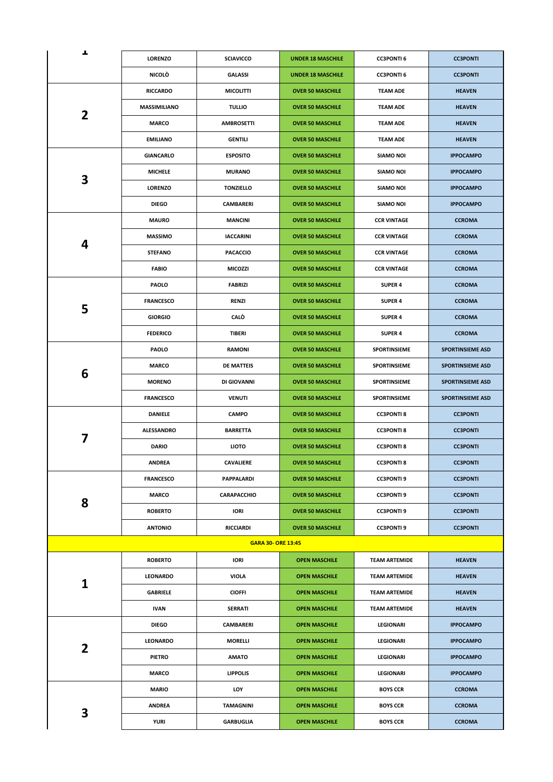| ┻              | <b>LORENZO</b>      | <b>SCIAVICCO</b>          | <b>UNDER 18 MASCHILE</b> | <b>CC3PONTI 6</b>    | <b>CC3PONTI</b>         |
|----------------|---------------------|---------------------------|--------------------------|----------------------|-------------------------|
|                | <b>NICOLÒ</b>       | <b>GALASSI</b>            | <b>UNDER 18 MASCHILE</b> | <b>CC3PONTI 6</b>    | <b>CC3PONTI</b>         |
|                | <b>RICCARDO</b>     | <b>MICOLITTI</b>          | <b>OVER 50 MASCHILE</b>  | <b>TEAM ADE</b>      | <b>HEAVEN</b>           |
|                | <b>MASSIMILIANO</b> | <b>TULLIO</b>             | <b>OVER 50 MASCHILE</b>  | <b>TEAM ADE</b>      | <b>HEAVEN</b>           |
| 2              | <b>MARCO</b>        | <b>AMBROSETTI</b>         | <b>OVER 50 MASCHILE</b>  | <b>TEAM ADE</b>      | <b>HEAVEN</b>           |
|                | <b>EMILIANO</b>     | <b>GENTILI</b>            | <b>OVER 50 MASCHILE</b>  | <b>TEAM ADE</b>      | <b>HEAVEN</b>           |
|                | GIANCARLO           | <b>ESPOSITO</b>           | <b>OVER 50 MASCHILE</b>  | <b>SIAMO NOI</b>     | <b>IPPOCAMPO</b>        |
|                | <b>MICHELE</b>      | <b>MURANO</b>             | <b>OVER 50 MASCHILE</b>  | <b>SIAMO NOI</b>     | <b>IPPOCAMPO</b>        |
| 3              | <b>LORENZO</b>      | <b>TONZIELLO</b>          | <b>OVER 50 MASCHILE</b>  | <b>SIAMO NOI</b>     | <b>IPPOCAMPO</b>        |
|                | <b>DIEGO</b>        | <b>CAMBARERI</b>          | <b>OVER 50 MASCHILE</b>  | SIAMO NOI            | <b>IPPOCAMPO</b>        |
|                | <b>MAURO</b>        | <b>MANCINI</b>            | <b>OVER 50 MASCHILE</b>  | <b>CCR VINTAGE</b>   | <b>CCROMA</b>           |
|                | <b>MASSIMO</b>      | <b>IACCARINI</b>          | <b>OVER 50 MASCHILE</b>  | <b>CCR VINTAGE</b>   | <b>CCROMA</b>           |
| 4              | <b>STEFANO</b>      | <b>PACACCIO</b>           | <b>OVER 50 MASCHILE</b>  | <b>CCR VINTAGE</b>   | <b>CCROMA</b>           |
|                | <b>FABIO</b>        | <b>MICOZZI</b>            | <b>OVER 50 MASCHILE</b>  | <b>CCR VINTAGE</b>   | <b>CCROMA</b>           |
|                | <b>PAOLO</b>        | <b>FABRIZI</b>            | <b>OVER 50 MASCHILE</b>  | <b>SUPER 4</b>       | <b>CCROMA</b>           |
|                | <b>FRANCESCO</b>    | <b>RENZI</b>              | <b>OVER 50 MASCHILE</b>  | <b>SUPER 4</b>       | <b>CCROMA</b>           |
| 5              | <b>GIORGIO</b>      | <b>CALO</b>               | <b>OVER 50 MASCHILE</b>  | <b>SUPER 4</b>       | <b>CCROMA</b>           |
|                | <b>FEDERICO</b>     | <b>TIBERI</b>             | <b>OVER 50 MASCHILE</b>  | <b>SUPER 4</b>       | <b>CCROMA</b>           |
|                | PAOLO               | <b>RAMONI</b>             | <b>OVER 50 MASCHILE</b>  | SPORTINSIEME         | <b>SPORTINSIEME ASD</b> |
|                | <b>MARCO</b>        | <b>DE MATTEIS</b>         | <b>OVER 50 MASCHILE</b>  | <b>SPORTINSIEME</b>  | <b>SPORTINSIEME ASD</b> |
| 6              | <b>MORENO</b>       | DI GIOVANNI               | <b>OVER 50 MASCHILE</b>  | SPORTINSIEME         | <b>SPORTINSIEME ASD</b> |
|                | <b>FRANCESCO</b>    | <b>VENUTI</b>             | <b>OVER 50 MASCHILE</b>  | SPORTINSIEME         | <b>SPORTINSIEME ASD</b> |
|                | <b>DANIELE</b>      | <b>CAMPO</b>              | <b>OVER 50 MASCHILE</b>  | <b>CC3PONTI 8</b>    | <b>CC3PONTI</b>         |
|                | <b>ALESSANDRO</b>   | <b>BARRETTA</b>           | <b>OVER 50 MASCHILE</b>  | <b>CC3PONTI 8</b>    | <b>CC3PONTI</b>         |
| 7              | <b>DARIO</b>        | <b>LIOTO</b>              | <b>OVER 50 MASCHILE</b>  | <b>CC3PONTI8</b>     | <b>CC3PONTI</b>         |
|                | ANDREA              | CAVALIERE                 | <b>OVER 50 MASCHILE</b>  | <b>CC3PONTI 8</b>    | <b>CC3PONTI</b>         |
|                | <b>FRANCESCO</b>    | PAPPALARDI                | <b>OVER 50 MASCHILE</b>  | <b>CC3PONTI 9</b>    | <b>CC3PONTI</b>         |
|                | <b>MARCO</b>        | CARAPACCHIO               | <b>OVER 50 MASCHILE</b>  | <b>CC3PONTI 9</b>    | <b>CC3PONTI</b>         |
| 8              | <b>ROBERTO</b>      | <b>IORI</b>               | <b>OVER 50 MASCHILE</b>  | <b>CC3PONTI 9</b>    | <b>CC3PONTI</b>         |
|                | <b>ANTONIO</b>      | <b>RICCIARDI</b>          | <b>OVER 50 MASCHILE</b>  | <b>CC3PONTI 9</b>    | <b>CC3PONTI</b>         |
|                |                     | <b>GARA 30- ORE 13:45</b> |                          |                      |                         |
|                | <b>ROBERTO</b>      | <b>IORI</b>               | <b>OPEN MASCHILE</b>     | <b>TEAM ARTEMIDE</b> | <b>HEAVEN</b>           |
|                | LEONARDO            | <b>VIOLA</b>              | <b>OPEN MASCHILE</b>     | <b>TEAM ARTEMIDE</b> | <b>HEAVEN</b>           |
| 1              | <b>GABRIELE</b>     | <b>CIOFFI</b>             | <b>OPEN MASCHILE</b>     | <b>TEAM ARTEMIDE</b> | <b>HEAVEN</b>           |
|                | <b>IVAN</b>         | <b>SERRATI</b>            | <b>OPEN MASCHILE</b>     | <b>TEAM ARTEMIDE</b> | <b>HEAVEN</b>           |
|                | <b>DIEGO</b>        | <b>CAMBARERI</b>          | <b>OPEN MASCHILE</b>     | <b>LEGIONARI</b>     | <b>IPPOCAMPO</b>        |
|                | LEONARDO            | <b>MORELLI</b>            | <b>OPEN MASCHILE</b>     | <b>LEGIONARI</b>     | <b>IPPOCAMPO</b>        |
| $\overline{2}$ | <b>PIETRO</b>       | <b>AMATO</b>              | <b>OPEN MASCHILE</b>     | <b>LEGIONARI</b>     | <b>IPPOCAMPO</b>        |
|                | <b>MARCO</b>        | <b>LIPPOLIS</b>           | <b>OPEN MASCHILE</b>     | <b>LEGIONARI</b>     | <b>IPPOCAMPO</b>        |
|                | <b>MARIO</b>        | LOY                       | <b>OPEN MASCHILE</b>     | <b>BOYS CCR</b>      | <b>CCROMA</b>           |
|                | <b>ANDREA</b>       | <b>TAMAGNINI</b>          | <b>OPEN MASCHILE</b>     | <b>BOYS CCR</b>      | <b>CCROMA</b>           |
| 3              | <b>YURI</b>         | <b>GARBUGLIA</b>          | <b>OPEN MASCHILE</b>     | <b>BOYS CCR</b>      | <b>CCROMA</b>           |